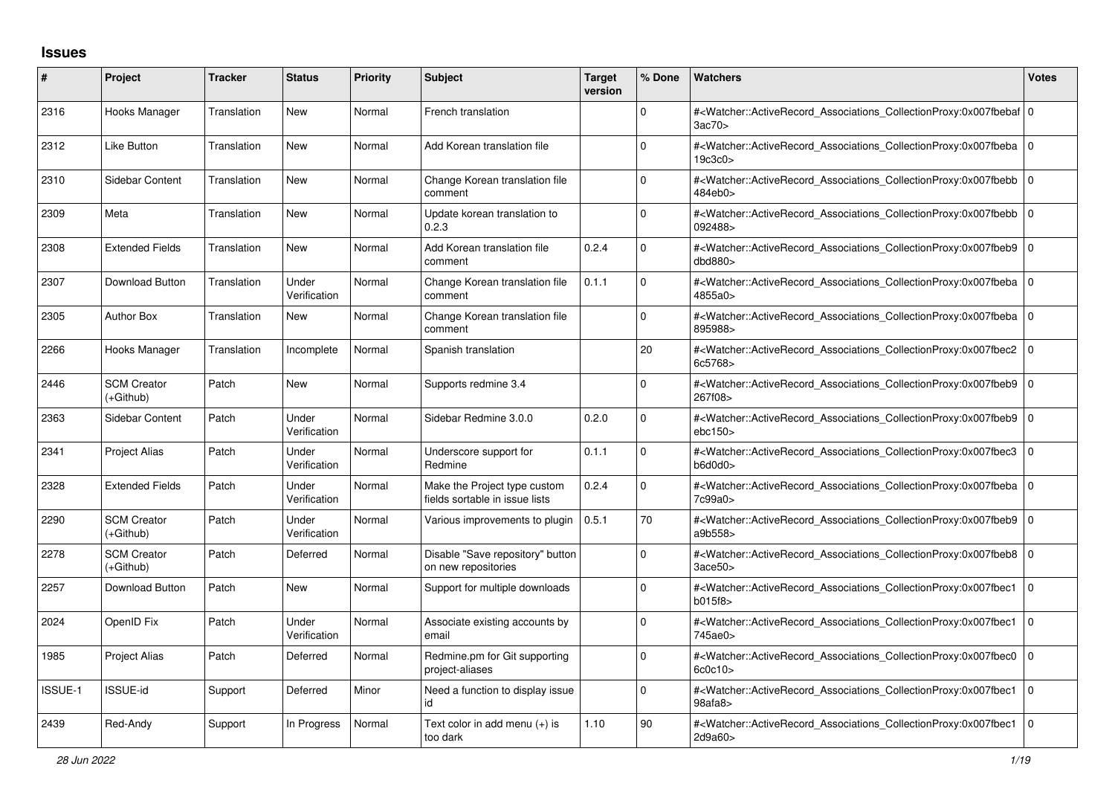## **Issues**

| #       | Project                           | <b>Tracker</b> | <b>Status</b>         | <b>Priority</b> | <b>Subject</b>                                                 | <b>Target</b><br>version | % Done       | <b>Watchers</b>                                                                                                                                          | <b>Votes</b> |
|---------|-----------------------------------|----------------|-----------------------|-----------------|----------------------------------------------------------------|--------------------------|--------------|----------------------------------------------------------------------------------------------------------------------------------------------------------|--------------|
| 2316    | Hooks Manager                     | Translation    | <b>New</b>            | Normal          | French translation                                             |                          | $\Omega$     | # <watcher::activerecord 0<br="" associations="" collectionproxy:0x007fbebaf=""  ="">3ac70&gt;</watcher::activerecord>                                   |              |
| 2312    | Like Button                       | Translation    | <b>New</b>            | Normal          | Add Korean translation file                                    |                          | $\Omega$     | # <watcher::activerecord_associations_collectionproxy:0x007fbeba 0<br="">19c3c0</watcher::activerecord_associations_collectionproxy:0x007fbeba>          |              |
| 2310    | Sidebar Content                   | Translation    | <b>New</b>            | Normal          | Change Korean translation file<br>comment                      |                          | $\Omega$     | # <watcher::activerecord_associations_collectionproxy:0x007fbebb 0<br="">484eb0&gt;</watcher::activerecord_associations_collectionproxy:0x007fbebb>      |              |
| 2309    | Meta                              | Translation    | <b>New</b>            | Normal          | Update korean translation to<br>0.2.3                          |                          | $\Omega$     | # <watcher::activerecord 0<br="" associations="" collectionproxy:0x007fbebb=""  ="">092488&gt;</watcher::activerecord>                                   |              |
| 2308    | <b>Extended Fields</b>            | Translation    | <b>New</b>            | Normal          | Add Korean translation file<br>comment                         | 0.2.4                    | $\Omega$     | # <watcher::activerecord 0<br="" associations="" collectionproxy:0x007fbeb9=""  ="">dbd880</watcher::activerecord>                                       |              |
| 2307    | Download Button                   | Translation    | Under<br>Verification | Normal          | Change Korean translation file<br>comment                      | 0.1.1                    | $\Omega$     | # <watcher::activerecord_associations_collectionproxy:0x007fbeba 0<br=""  ="">4855a0&gt;</watcher::activerecord_associations_collectionproxy:0x007fbeba> |              |
| 2305    | <b>Author Box</b>                 | Translation    | <b>New</b>            | Normal          | Change Korean translation file<br>comment                      |                          | $\Omega$     | # <watcher::activerecord 0<br="" associations="" collectionproxy:0x007fbeba=""  ="">895988&gt;</watcher::activerecord>                                   |              |
| 2266    | Hooks Manager                     | Translation    | Incomplete            | Normal          | Spanish translation                                            |                          | 20           | # <watcher::activerecord 0<br="" associations="" collectionproxy:0x007fbec2=""  ="">6c5768&gt;</watcher::activerecord>                                   |              |
| 2446    | <b>SCM Creator</b><br>$(+Github)$ | Patch          | <b>New</b>            | Normal          | Supports redmine 3.4                                           |                          | O            | # <watcher::activerecord_associations_collectionproxy:0x007fbeb9 0<br=""  ="">267f08&gt;</watcher::activerecord_associations_collectionproxy:0x007fbeb9> |              |
| 2363    | <b>Sidebar Content</b>            | Patch          | Under<br>Verification | Normal          | Sidebar Redmine 3.0.0                                          | 0.2.0                    | $\Omega$     | # <watcher::activerecord 0<br="" associations="" collectionproxy:0x007fbeb9=""  ="">ebc150</watcher::activerecord>                                       |              |
| 2341    | <b>Project Alias</b>              | Patch          | Under<br>Verification | Normal          | Underscore support for<br>Redmine                              | 0.1.1                    | $\Omega$     | # <watcher::activerecord_associations_collectionproxy:0x007fbec3<br>b6d0d0&gt;</watcher::activerecord_associations_collectionproxy:0x007fbec3<br>        | l O          |
| 2328    | <b>Extended Fields</b>            | Patch          | Under<br>Verification | Normal          | Make the Project type custom<br>fields sortable in issue lists | 0.2.4                    | $\mathbf 0$  | # <watcher::activerecord_associations_collectionproxy:0x007fbeba 0<br=""  ="">7c99a0&gt;</watcher::activerecord_associations_collectionproxy:0x007fbeba> |              |
| 2290    | <b>SCM Creator</b><br>(+Github)   | Patch          | Under<br>Verification | Normal          | Various improvements to plugin                                 | 0.5.1                    | 70           | # <watcher::activerecord 0<br="" associations="" collectionproxy:0x007fbeb9=""  ="">a9b558&gt;</watcher::activerecord>                                   |              |
| 2278    | <b>SCM Creator</b><br>(+Github)   | Patch          | Deferred              | Normal          | Disable "Save repository" button<br>on new repositories        |                          | $\Omega$     | # <watcher::activerecord_associations_collectionproxy:0x007fbeb8 0<br=""  ="">3ace50</watcher::activerecord_associations_collectionproxy:0x007fbeb8>     |              |
| 2257    | Download Button                   | Patch          | <b>New</b>            | Normal          | Support for multiple downloads                                 |                          | 0            | # <watcher::activerecord associations="" collectionproxy:0x007fbec1<br="">b015f8&gt;</watcher::activerecord>                                             | l O          |
| 2024    | OpenID Fix                        | Patch          | Under<br>Verification | Normal          | Associate existing accounts by<br>email                        |                          | $\Omega$     | # <watcher::activerecord associations="" collectionproxy:0x007fbec1<br="">745ae0&gt;</watcher::activerecord>                                             | l O          |
| 1985    | <b>Project Alias</b>              | Patch          | Deferred              | Normal          | Redmine.pm for Git supporting<br>project-aliases               |                          | <sup>0</sup> | # <watcher::activerecord_associations_collectionproxy:0x007fbec0<br>600c10</watcher::activerecord_associations_collectionproxy:0x007fbec0<br>            | I٥           |
| ISSUE-1 | <b>ISSUE-id</b>                   | Support        | Deferred              | Minor           | Need a function to display issue<br>id                         |                          | $\mathbf 0$  | # <watcher::activerecord associations="" collectionproxy:0x007fbec1<br="">98afa8&gt;</watcher::activerecord>                                             | l O          |
| 2439    | Red-Andy                          | Support        | In Progress           | Normal          | Text color in add menu (+) is<br>too dark                      | 1.10                     | 90           | # <watcher::activerecord_associations_collectionproxy:0x007fbec1<br>2d9a60&gt;</watcher::activerecord_associations_collectionproxy:0x007fbec1<br>        | l O          |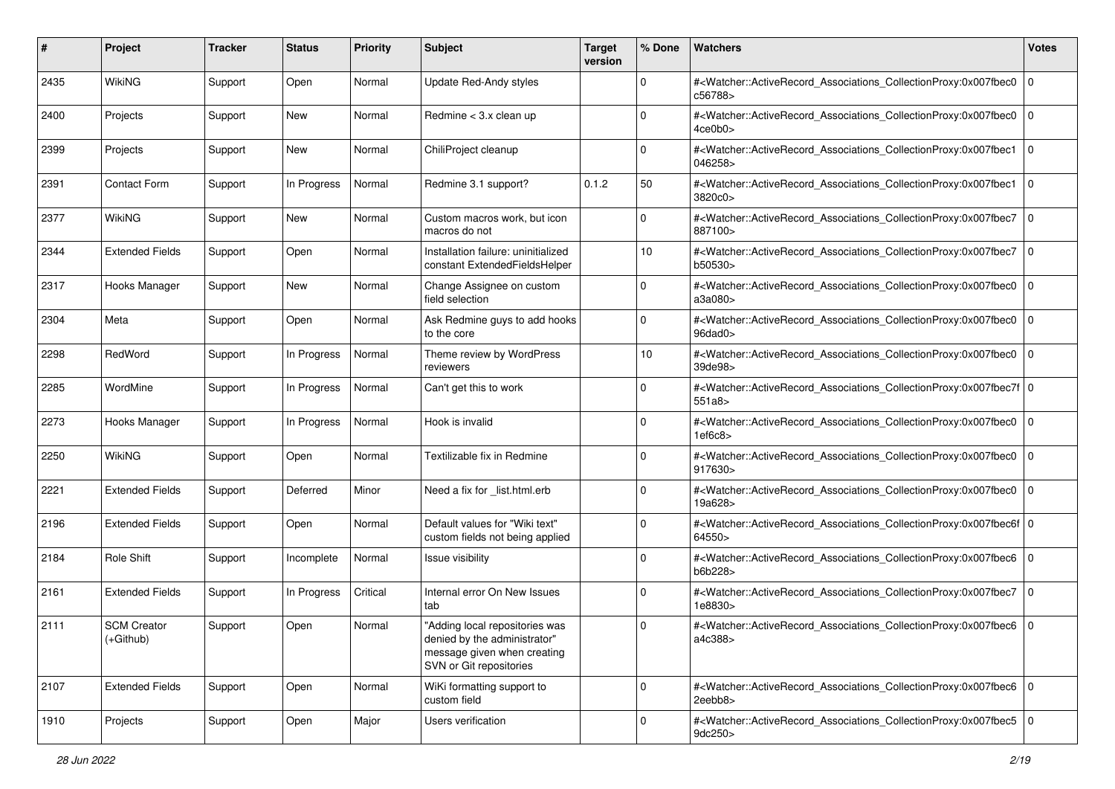| #    | Project                         | <b>Tracker</b> | <b>Status</b> | <b>Priority</b> | Subject                                                                                                                  | <b>Target</b><br>version | % Done      | <b>Watchers</b>                                                                                                                                           | <b>Votes</b>   |
|------|---------------------------------|----------------|---------------|-----------------|--------------------------------------------------------------------------------------------------------------------------|--------------------------|-------------|-----------------------------------------------------------------------------------------------------------------------------------------------------------|----------------|
| 2435 | WikiNG                          | Support        | Open          | Normal          | Update Red-Andy styles                                                                                                   |                          | $\mathbf 0$ | # <watcher::activerecord_associations_collectionproxy:0x007fbec0<br>c56788&gt;</watcher::activerecord_associations_collectionproxy:0x007fbec0<br>         | 0              |
| 2400 | Projects                        | Support        | New           | Normal          | Redmine $<$ 3.x clean up                                                                                                 |                          | 0           | # <watcher::activerecord_associations_collectionproxy:0x007fbec0<br>4ce0b0&gt;</watcher::activerecord_associations_collectionproxy:0x007fbec0<br>         | 0              |
| 2399 | Projects                        | Support        | New           | Normal          | ChiliProject cleanup                                                                                                     |                          | $\Omega$    | # <watcher::activerecord_associations_collectionproxy:0x007fbec1<br>046258&gt;</watcher::activerecord_associations_collectionproxy:0x007fbec1<br>         | l O            |
| 2391 | <b>Contact Form</b>             | Support        | In Progress   | Normal          | Redmine 3.1 support?                                                                                                     | 0.1.2                    | 50          | # <watcher::activerecord_associations_collectionproxy:0x007fbec1<br>3820c0&gt;</watcher::activerecord_associations_collectionproxy:0x007fbec1<br>         | l 0            |
| 2377 | WikiNG                          | Support        | New           | Normal          | Custom macros work, but icon<br>macros do not                                                                            |                          | $\Omega$    | # <watcher::activerecord_associations_collectionproxy:0x007fbec7<br>887100&gt;</watcher::activerecord_associations_collectionproxy:0x007fbec7<br>         | 0              |
| 2344 | <b>Extended Fields</b>          | Support        | Open          | Normal          | Installation failure: uninitialized<br>constant ExtendedFieldsHelper                                                     |                          | 10          | # <watcher::activerecord_associations_collectionproxy:0x007fbec7<br>b50530&gt;</watcher::activerecord_associations_collectionproxy:0x007fbec7<br>         | 0              |
| 2317 | Hooks Manager                   | Support        | New           | Normal          | Change Assignee on custom<br>field selection                                                                             |                          | $\Omega$    | # <watcher::activerecord_associations_collectionproxy:0x007fbec0<br>a3a080&gt;</watcher::activerecord_associations_collectionproxy:0x007fbec0<br>         | l 0            |
| 2304 | Meta                            | Support        | Open          | Normal          | Ask Redmine guys to add hooks<br>to the core                                                                             |                          | $\mathbf 0$ | # <watcher::activerecord_associations_collectionproxy:0x007fbec0<br>96dad0&gt;</watcher::activerecord_associations_collectionproxy:0x007fbec0<br>         | l 0            |
| 2298 | RedWord                         | Support        | In Progress   | Normal          | Theme review by WordPress<br>reviewers                                                                                   |                          | 10          | # <watcher::activerecord_associations_collectionproxy:0x007fbec0<br>39de98&gt;</watcher::activerecord_associations_collectionproxy:0x007fbec0<br>         | 0              |
| 2285 | WordMine                        | Support        | In Progress   | Normal          | Can't get this to work                                                                                                   |                          | 0           | # <watcher::activerecord_associations_collectionproxy:0x007fbec7f 0<br=""  ="">551a8&gt;</watcher::activerecord_associations_collectionproxy:0x007fbec7f> |                |
| 2273 | Hooks Manager                   | Support        | In Progress   | Normal          | Hook is invalid                                                                                                          |                          | $\Omega$    | # <watcher::activerecord_associations_collectionproxy:0x007fbec0<br>1ef6c8</watcher::activerecord_associations_collectionproxy:0x007fbec0<br>             | 0              |
| 2250 | <b>WikiNG</b>                   | Support        | Open          | Normal          | Textilizable fix in Redmine                                                                                              |                          | $\Omega$    | # <watcher::activerecord_associations_collectionproxy:0x007fbec0<br>917630&gt;</watcher::activerecord_associations_collectionproxy:0x007fbec0<br>         | 0              |
| 2221 | <b>Extended Fields</b>          | Support        | Deferred      | Minor           | Need a fix for _list.html.erb                                                                                            |                          | 0           | # <watcher::activerecord_associations_collectionproxy:0x007fbec0<br>19a628&gt;</watcher::activerecord_associations_collectionproxy:0x007fbec0<br>         | $\overline{0}$ |
| 2196 | <b>Extended Fields</b>          | Support        | Open          | Normal          | Default values for "Wiki text"<br>custom fields not being applied                                                        |                          | $\Omega$    | # <watcher::activerecord_associations_collectionproxy:0x007fbec6f 0<br=""  ="">64550&gt;</watcher::activerecord_associations_collectionproxy:0x007fbec6f> |                |
| 2184 | <b>Role Shift</b>               | Support        | Incomplete    | Normal          | Issue visibility                                                                                                         |                          | $\Omega$    | # <watcher::activerecord_associations_collectionproxy:0x007fbec6<br>b6b228&gt;</watcher::activerecord_associations_collectionproxy:0x007fbec6<br>         | l 0            |
| 2161 | <b>Extended Fields</b>          | Support        | In Progress   | Critical        | Internal error On New Issues<br>tab                                                                                      |                          | $\Omega$    | # <watcher::activerecord_associations_collectionproxy:0x007fbec7<br>1e8830&gt;</watcher::activerecord_associations_collectionproxy:0x007fbec7<br>         | 0              |
| 2111 | <b>SCM Creator</b><br>(+Github) | Support        | Open          | Normal          | "Adding local repositories was<br>denied by the administrator"<br>message given when creating<br>SVN or Git repositories |                          | 0           | # <watcher::activerecord_associations_collectionproxy:0x007fbec6<br>a4c388&gt;</watcher::activerecord_associations_collectionproxy:0x007fbec6<br>         | l O            |
| 2107 | <b>Extended Fields</b>          | Support        | Open          | Normal          | WiKi formatting support to<br>custom field                                                                               |                          | $\mathbf 0$ | # <watcher::activerecord_associations_collectionproxy:0x007fbec6 0<br="">2eebb8&gt;</watcher::activerecord_associations_collectionproxy:0x007fbec6>       |                |
| 1910 | Projects                        | Support        | Open          | Major           | Users verification                                                                                                       |                          | $\Omega$    | # <watcher::activerecord_associations_collectionproxy:0x007fbec5 0<br=""  ="">9dc250&gt;</watcher::activerecord_associations_collectionproxy:0x007fbec5>  |                |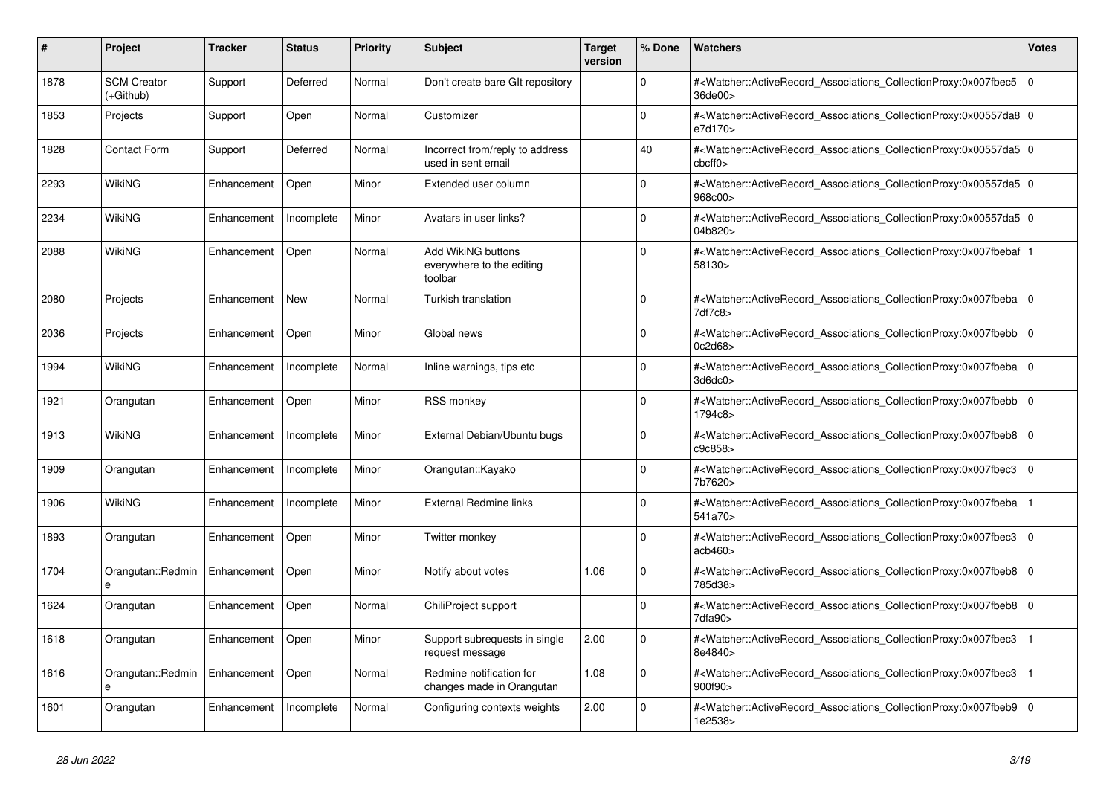| #    | <b>Project</b>                    | Tracker     | <b>Status</b> | <b>Priority</b> | <b>Subject</b>                                             | <b>Target</b><br>version | % Done      | <b>Watchers</b>                                                                                                                                           | <b>Votes</b>   |
|------|-----------------------------------|-------------|---------------|-----------------|------------------------------------------------------------|--------------------------|-------------|-----------------------------------------------------------------------------------------------------------------------------------------------------------|----------------|
| 1878 | <b>SCM Creator</b><br>$(+Github)$ | Support     | Deferred      | Normal          | Don't create bare GIt repository                           |                          | $\Omega$    | # <watcher::activerecord_associations_collectionproxy:0x007fbec5<br>36de00&gt;</watcher::activerecord_associations_collectionproxy:0x007fbec5<br>         | $\Omega$       |
| 1853 | Projects                          | Support     | Open          | Normal          | Customizer                                                 |                          | $\Omega$    | # <watcher::activerecord_associations_collectionproxy:0x00557da8 0<br="">e7d170&gt;</watcher::activerecord_associations_collectionproxy:0x00557da8>       |                |
| 1828 | <b>Contact Form</b>               | Support     | Deferred      | Normal          | Incorrect from/reply to address<br>used in sent email      |                          | 40          | # <watcher::activerecord_associations_collectionproxy:0x00557da5 0<br=""  ="">cbcff0</watcher::activerecord_associations_collectionproxy:0x00557da5>      |                |
| 2293 | WikiNG                            | Enhancement | Open          | Minor           | Extended user column                                       |                          | $\Omega$    | # <watcher::activerecord_associations_collectionproxy:0x00557da5 0<br=""  ="">968c00&gt;</watcher::activerecord_associations_collectionproxy:0x00557da5>  |                |
| 2234 | WikiNG                            | Enhancement | Incomplete    | Minor           | Avatars in user links?                                     |                          | $\mathbf 0$ | # <watcher::activerecord_associations_collectionproxy:0x00557da5 0<br=""  ="">04b820&gt;</watcher::activerecord_associations_collectionproxy:0x00557da5>  |                |
| 2088 | WikiNG                            | Enhancement | Open          | Normal          | Add WikiNG buttons<br>everywhere to the editing<br>toolbar |                          | $\Omega$    | # <watcher::activerecord_associations_collectionproxy:0x007fbebaf 1<br=""  ="">58130&gt;</watcher::activerecord_associations_collectionproxy:0x007fbebaf> |                |
| 2080 | Projects                          | Enhancement | <b>New</b>    | Normal          | Turkish translation                                        |                          | $\Omega$    | # <watcher::activerecord associations="" collectionproxy:0x007fbeba<br="">7df7c8&gt;</watcher::activerecord>                                              | $\Omega$       |
| 2036 | Projects                          | Enhancement | Open          | Minor           | Global news                                                |                          | $\Omega$    | # <watcher::activerecord associations="" collectionproxy:0x007fbebb<br="">0c2d68&gt;</watcher::activerecord>                                              | l 0            |
| 1994 | <b>WikiNG</b>                     | Enhancement | Incomplete    | Normal          | Inline warnings, tips etc                                  |                          | $\Omega$    | # <watcher::activerecord associations="" collectionproxy:0x007fbeba<br="">3d6dc0&gt;</watcher::activerecord>                                              | $\overline{0}$ |
| 1921 | Orangutan                         | Enhancement | Open          | Minor           | <b>RSS monkey</b>                                          |                          | $\mathbf 0$ | # <watcher::activerecord associations="" collectionproxy:0x007fbebb<br="">1794c8&gt;</watcher::activerecord>                                              | $\Omega$       |
| 1913 | WikiNG                            | Enhancement | Incomplete    | Minor           | External Debian/Ubuntu bugs                                |                          | $\Omega$    | # <watcher::activerecord_associations_collectionproxy:0x007fbeb8 0<br="">c9c858&gt;</watcher::activerecord_associations_collectionproxy:0x007fbeb8>       |                |
| 1909 | Orangutan                         | Enhancement | Incomplete    | Minor           | Orangutan::Kayako                                          |                          | $\Omega$    | # <watcher::activerecord associations="" collectionproxy:0x007fbec3<br="">7b7620&gt;</watcher::activerecord>                                              | l 0            |
| 1906 | <b>WikiNG</b>                     | Enhancement | Incomplete    | Minor           | <b>External Redmine links</b>                              |                          | $\mathbf 0$ | # <watcher::activerecord associations="" collectionproxy:0x007fbeba<br="">541a70&gt;</watcher::activerecord>                                              |                |
| 1893 | Orangutan                         | Enhancement | Open          | Minor           | Twitter monkey                                             |                          | $\Omega$    | # <watcher::activerecord associations="" collectionproxy:0x007fbec3<br="">acb460&gt;</watcher::activerecord>                                              | l 0            |
| 1704 | Orangutan::Redmin<br>e            | Enhancement | Open          | Minor           | Notify about votes                                         | 1.06                     | $\Omega$    | # <watcher::activerecord_associations_collectionproxy:0x007fbeb8<br>785d38&gt;</watcher::activerecord_associations_collectionproxy:0x007fbeb8<br>         | $\mathbf 0$    |
| 1624 | Orangutan                         | Enhancement | Open          | Normal          | ChiliProject support                                       |                          | $\Omega$    | # <watcher::activerecord_associations_collectionproxy:0x007fbeb8<br>7dfa90</watcher::activerecord_associations_collectionproxy:0x007fbeb8<br>             | $\overline{0}$ |
| 1618 | Orangutan                         | Enhancement | Open          | Minor           | Support subrequests in single<br>request message           | 2.00                     | $\mathbf 0$ | # <watcher::activerecord_associations_collectionproxy:0x007fbec3<br>8e4840&gt;</watcher::activerecord_associations_collectionproxy:0x007fbec3<br>         | $\mathbf 1$    |
| 1616 | Orangutan::Redmin<br>e            | Enhancement | Open          | Normal          | Redmine notification for<br>changes made in Orangutan      | 1.08                     | $\Omega$    | # <watcher::activerecord_associations_collectionproxy:0x007fbec3<br>900f90&gt;</watcher::activerecord_associations_collectionproxy:0x007fbec3<br>         |                |
| 1601 | Orangutan                         | Enhancement | Incomplete    | Normal          | Configuring contexts weights                               | 2.00                     | $\Omega$    | # <watcher::activerecord_associations_collectionproxy:0x007fbeb9<br>1e2538&gt;</watcher::activerecord_associations_collectionproxy:0x007fbeb9<br>         | $\overline{0}$ |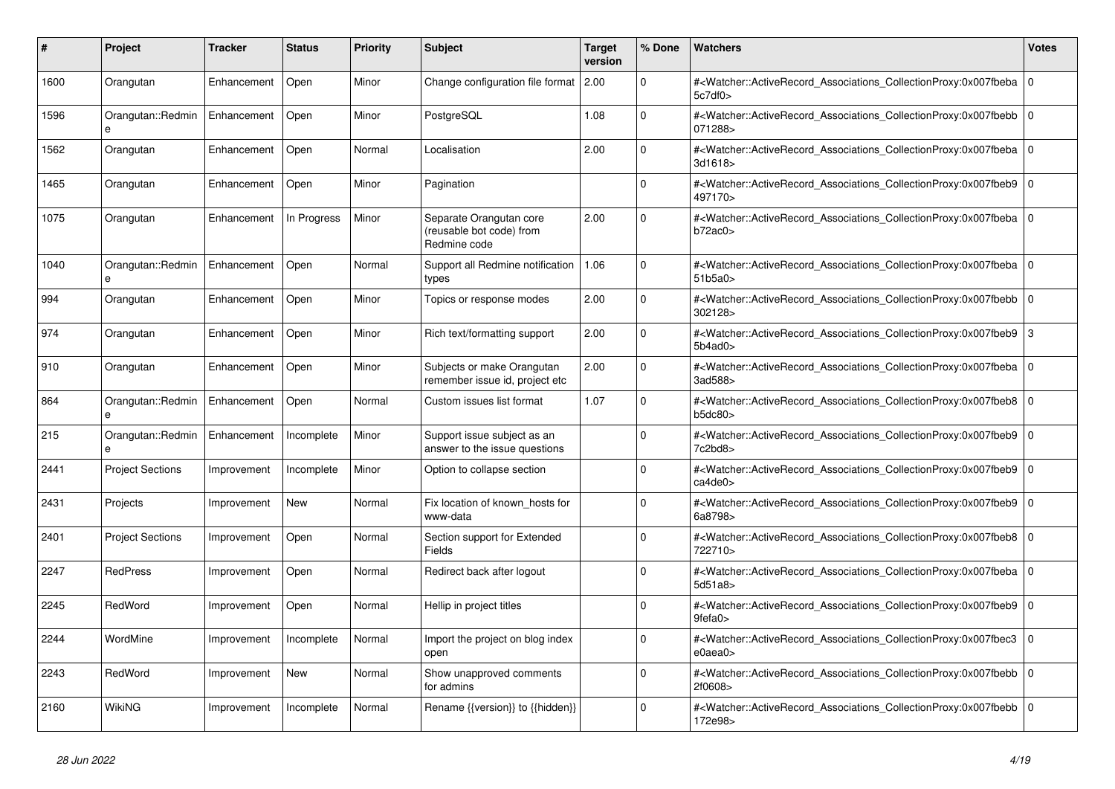| #    | <b>Project</b>          | Tracker     | <b>Status</b> | <b>Priority</b> | <b>Subject</b>                                                      | <b>Target</b><br>version | % Done   | <b>Watchers</b>                                                                                                                                          | <b>Votes</b> |
|------|-------------------------|-------------|---------------|-----------------|---------------------------------------------------------------------|--------------------------|----------|----------------------------------------------------------------------------------------------------------------------------------------------------------|--------------|
| 1600 | Orangutan               | Enhancement | Open          | Minor           | Change configuration file format                                    | 2.00                     | $\Omega$ | # <watcher::activerecord_associations_collectionproxy:0x007fbeba<br>5c7df0</watcher::activerecord_associations_collectionproxy:0x007fbeba<br>            | $\Omega$     |
| 1596 | Orangutan::Redmin<br>e  | Enhancement | Open          | Minor           | PostgreSQL                                                          | 1.08                     | $\Omega$ | # <watcher::activerecord associations="" collectionproxy:0x007fbebb<br="">071288&gt;</watcher::activerecord>                                             | $\Omega$     |
| 1562 | Orangutan               | Enhancement | Open          | Normal          | Localisation                                                        | 2.00                     | $\Omega$ | # <watcher::activerecord_associations_collectionproxy:0x007fbeba 0<br=""  ="">3d1618&gt;</watcher::activerecord_associations_collectionproxy:0x007fbeba> |              |
| 1465 | Orangutan               | Enhancement | Open          | Minor           | Pagination                                                          |                          | $\Omega$ | # <watcher::activerecord_associations_collectionproxy:0x007fbeb9<br>497170&gt;</watcher::activerecord_associations_collectionproxy:0x007fbeb9<br>        | $\Omega$     |
| 1075 | Orangutan               | Enhancement | In Progress   | Minor           | Separate Orangutan core<br>(reusable bot code) from<br>Redmine code | 2.00                     | $\Omega$ | # <watcher::activerecord_associations_collectionproxy:0x007fbeba 0<br=""  ="">b72ac0</watcher::activerecord_associations_collectionproxy:0x007fbeba>     |              |
| 1040 | Orangutan::Redmin<br>e  | Enhancement | Open          | Normal          | Support all Redmine notification<br>types                           | 1.06                     | $\Omega$ | # <watcher::activerecord 0<br="" associations="" collectionproxy:0x007fbeba=""  ="">51b5a0&gt;</watcher::activerecord>                                   |              |
| 994  | Orangutan               | Enhancement | Open          | Minor           | Topics or response modes                                            | 2.00                     | $\Omega$ | # <watcher::activerecord_associations_collectionproxy:0x007fbebb<br>302128&gt;</watcher::activerecord_associations_collectionproxy:0x007fbebb<br>        | $\mathbf 0$  |
| 974  | Orangutan               | Enhancement | Open          | Minor           | Rich text/formatting support                                        | 2.00                     | $\Omega$ | # <watcher::activerecord associations="" collectionproxy:0x007fbeb9<br="">5b4ad0</watcher::activerecord>                                                 | 3            |
| 910  | Orangutan               | Enhancement | Open          | Minor           | Subjects or make Orangutan<br>remember issue id, project etc        | 2.00                     | $\Omega$ | # <watcher::activerecord_associations_collectionproxy:0x007fbeba 0<br=""  ="">3ad588&gt;</watcher::activerecord_associations_collectionproxy:0x007fbeba> |              |
| 864  | Orangutan::Redmin       | Enhancement | Open          | Normal          | Custom issues list format                                           | 1.07                     | $\Omega$ | # <watcher::activerecord_associations_collectionproxy:0x007fbeb8<br>b5dc80&gt;</watcher::activerecord_associations_collectionproxy:0x007fbeb8<br>        | $\Omega$     |
| 215  | Orangutan::Redmin       | Enhancement | Incomplete    | Minor           | Support issue subject as an<br>answer to the issue questions        |                          | $\Omega$ | # <watcher::activerecord associations="" collectionproxy:0x007fbeb9=""  <br="">7c2bd8&gt;</watcher::activerecord>                                        | $\Omega$     |
| 2441 | <b>Project Sections</b> | Improvement | Incomplete    | Minor           | Option to collapse section                                          |                          | $\Omega$ | # <watcher::activerecord associations="" collectionproxy:0x007fbeb9<br="">ca4de0</watcher::activerecord>                                                 | $\mathbf 0$  |
| 2431 | Projects                | Improvement | New           | Normal          | Fix location of known hosts for<br>www-data                         |                          | $\Omega$ | # <watcher::activerecord_associations_collectionproxy:0x007fbeb9<br>6a8798&gt;</watcher::activerecord_associations_collectionproxy:0x007fbeb9<br>        | $\Omega$     |
| 2401 | <b>Project Sections</b> | Improvement | Open          | Normal          | Section support for Extended<br>Fields                              |                          | $\Omega$ | # <watcher::activerecord_associations_collectionproxy:0x007fbeb8 0<br="">722710&gt;</watcher::activerecord_associations_collectionproxy:0x007fbeb8>      |              |
| 2247 | <b>RedPress</b>         | Improvement | Open          | Normal          | Redirect back after logout                                          |                          | $\Omega$ | # <watcher::activerecord 0<br="" associations="" collectionproxy:0x007fbeba=""  ="">5d51a8&gt;</watcher::activerecord>                                   |              |
| 2245 | RedWord                 | Improvement | Open          | Normal          | Hellip in project titles                                            |                          | $\Omega$ | # <watcher::activerecord_associations_collectionproxy:0x007fbeb9<br>9fefa0&gt;</watcher::activerecord_associations_collectionproxy:0x007fbeb9<br>        | $\mathbf 0$  |
| 2244 | WordMine                | Improvement | Incomplete    | Normal          | Import the project on blog index<br>open                            |                          | $\Omega$ | # <watcher::activerecord associations="" collectionproxy:0x007fbec3<br=""><math>e0</math>aea<math>0</math></watcher::activerecord>                       | $\Omega$     |
| 2243 | RedWord                 | Improvement | <b>New</b>    | Normal          | Show unapproved comments<br>for admins                              |                          | $\Omega$ | # <watcher::activerecord associations="" collectionproxy:0x007fbebb<br="">2f0608&gt;</watcher::activerecord>                                             | $\mathbf 0$  |
| 2160 | WikiNG                  | Improvement | Incomplete    | Normal          | Rename {{version}} to {{hidden}}                                    |                          | $\Omega$ | # <watcher::activerecord_associations_collectionproxy:0x007fbebb<br>172e98&gt;</watcher::activerecord_associations_collectionproxy:0x007fbebb<br>        | $\mathbf 0$  |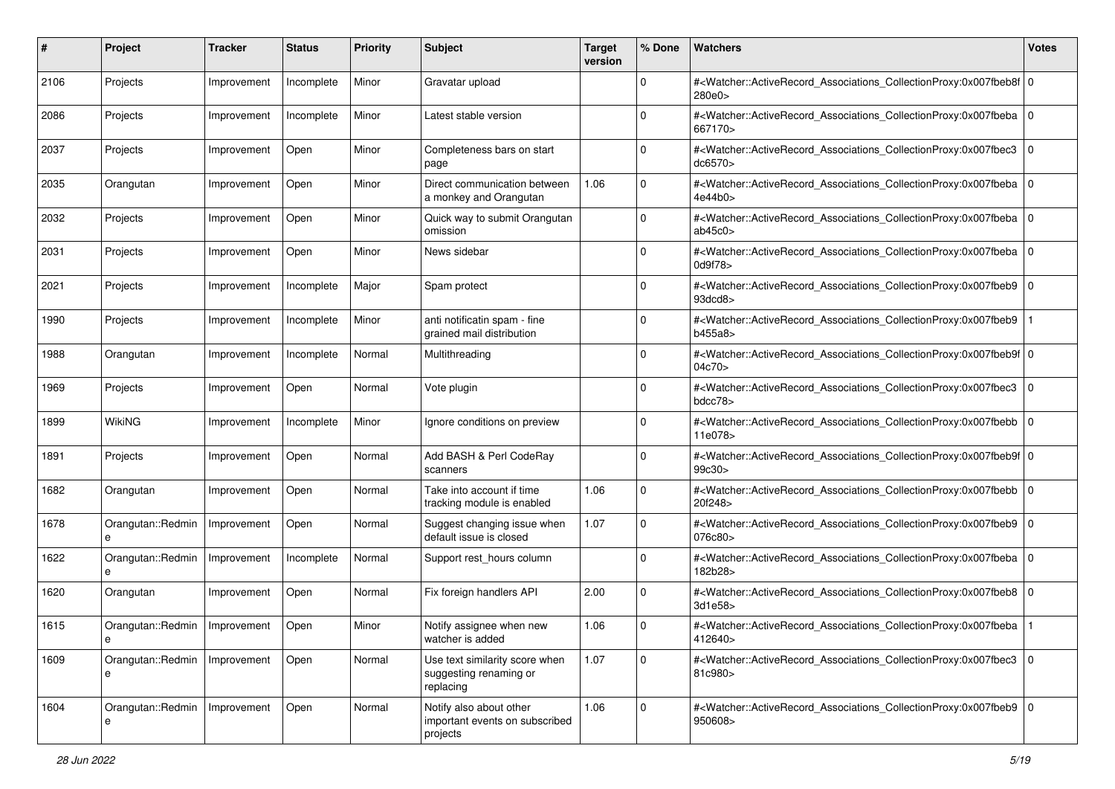| #    | Project                | Tracker     | <b>Status</b> | <b>Priority</b> | <b>Subject</b>                                                        | <b>Target</b><br>version | % Done      | Watchers                                                                                                                                                 | <b>Votes</b> |
|------|------------------------|-------------|---------------|-----------------|-----------------------------------------------------------------------|--------------------------|-------------|----------------------------------------------------------------------------------------------------------------------------------------------------------|--------------|
| 2106 | Projects               | Improvement | Incomplete    | Minor           | Gravatar upload                                                       |                          | $\mathbf 0$ | # <watcher::activerecord_associations_collectionproxy:0x007fbeb8f 0<br="">280e0&gt;</watcher::activerecord_associations_collectionproxy:0x007fbeb8f>     |              |
| 2086 | Projects               | Improvement | Incomplete    | Minor           | Latest stable version                                                 |                          | $\Omega$    | # <watcher::activerecord_associations_collectionproxy:0x007fbeba 0<br="">667170&gt;</watcher::activerecord_associations_collectionproxy:0x007fbeba>      |              |
| 2037 | Projects               | Improvement | Open          | Minor           | Completeness bars on start<br>page                                    |                          | $\Omega$    | # <watcher::activerecord_associations_collectionproxy:0x007fbec3<br>dc6570&gt;</watcher::activerecord_associations_collectionproxy:0x007fbec3<br>        | l 0          |
| 2035 | Orangutan              | Improvement | Open          | Minor           | Direct communication between<br>a monkey and Orangutan                | 1.06                     | $\mathbf 0$ | # <watcher::activerecord_associations_collectionproxy:0x007fbeba 0<br="">4e44b0&gt;</watcher::activerecord_associations_collectionproxy:0x007fbeba>      |              |
| 2032 | Projects               | Improvement | Open          | Minor           | Quick way to submit Orangutan<br>omission                             |                          | $\mathbf 0$ | # <watcher::activerecord_associations_collectionproxy:0x007fbeba 0<br="">ab45c0</watcher::activerecord_associations_collectionproxy:0x007fbeba>          |              |
| 2031 | Projects               | Improvement | Open          | Minor           | News sidebar                                                          |                          | $\Omega$    | # <watcher::activerecord_associations_collectionproxy:0x007fbeba<br>0d9f78&gt;</watcher::activerecord_associations_collectionproxy:0x007fbeba<br>        | l 0          |
| 2021 | Projects               | Improvement | Incomplete    | Major           | Spam protect                                                          |                          | $\mathbf 0$ | # <watcher::activerecord_associations_collectionproxy:0x007fbeb9 0<br="">93dcd8&gt;</watcher::activerecord_associations_collectionproxy:0x007fbeb9>      |              |
| 1990 | Projects               | Improvement | Incomplete    | Minor           | anti notificatin spam - fine<br>grained mail distribution             |                          | $\mathbf 0$ | # <watcher::activerecord_associations_collectionproxy:0x007fbeb9<br>b455a8&gt;</watcher::activerecord_associations_collectionproxy:0x007fbeb9<br>        |              |
| 1988 | Orangutan              | Improvement | Incomplete    | Normal          | Multithreading                                                        |                          | $\mathbf 0$ | # <watcher::activerecord_associations_collectionproxy:0x007fbeb9f 0<br="">04c70&gt;</watcher::activerecord_associations_collectionproxy:0x007fbeb9f>     |              |
| 1969 | Projects               | Improvement | Open          | Normal          | Vote plugin                                                           |                          | $\Omega$    | # <watcher::activerecord_associations_collectionproxy:0x007fbec3<br>bdcc78&gt;</watcher::activerecord_associations_collectionproxy:0x007fbec3<br>        | l 0          |
| 1899 | <b>WikiNG</b>          | Improvement | Incomplete    | Minor           | Ignore conditions on preview                                          |                          | $\mathbf 0$ | # <watcher::activerecord_associations_collectionproxy:0x007fbebb 0<br=""  ="">11e078&gt;</watcher::activerecord_associations_collectionproxy:0x007fbebb> |              |
| 1891 | Projects               | Improvement | Open          | Normal          | Add BASH & Perl CodeRay<br>scanners                                   |                          | $\mathbf 0$ | # <watcher::activerecord_associations_collectionproxy:0x007fbeb9f 0<br="">99c30&gt;</watcher::activerecord_associations_collectionproxy:0x007fbeb9f>     |              |
| 1682 | Orangutan              | Improvement | Open          | Normal          | Take into account if time<br>tracking module is enabled               | 1.06                     | $\Omega$    | # <watcher::activerecord_associations_collectionproxy:0x007fbebb<br>20f248&gt;</watcher::activerecord_associations_collectionproxy:0x007fbebb<br>        | l 0          |
| 1678 | Orangutan::Redmin      | Improvement | Open          | Normal          | Suggest changing issue when<br>default issue is closed                | 1.07                     | $\mathbf 0$ | # <watcher::activerecord_associations_collectionproxy:0x007fbeb9 0<br=""  ="">076c80&gt;</watcher::activerecord_associations_collectionproxy:0x007fbeb9> |              |
| 1622 | Orangutan::Redmin<br>e | Improvement | Incomplete    | Normal          | Support rest_hours column                                             |                          | $\mathbf 0$ | # <watcher::activerecord_associations_collectionproxy:0x007fbeba 0<br="">182b28&gt;</watcher::activerecord_associations_collectionproxy:0x007fbeba>      |              |
| 1620 | Orangutan              | Improvement | Open          | Normal          | Fix foreign handlers API                                              | 2.00                     | $\mathbf 0$ | # <watcher::activerecord_associations_collectionproxy:0x007fbeb8 0<br="">3d1e58&gt;</watcher::activerecord_associations_collectionproxy:0x007fbeb8>      |              |
| 1615 | Orangutan::Redmin<br>e | Improvement | Open          | Minor           | Notify assignee when new<br>watcher is added                          | 1.06                     | $\mathbf 0$ | # <watcher::activerecord associations="" collectionproxy:0x007fbeba<br="">412640&gt;</watcher::activerecord>                                             |              |
| 1609 | Orangutan::Redmin<br>е | Improvement | Open          | Normal          | Use text similarity score when<br>suggesting renaming or<br>replacing | 1.07                     | $\mathbf 0$ | # <watcher::activerecord_associations_collectionproxy:0x007fbec3 0<br="">81c980&gt;</watcher::activerecord_associations_collectionproxy:0x007fbec3>      |              |
| 1604 | Orangutan::Redmin<br>e | Improvement | Open          | Normal          | Notify also about other<br>important events on subscribed<br>projects | 1.06                     | $\mathbf 0$ | # <watcher::activerecord_associations_collectionproxy:0x007fbeb9 0<br="">950608&gt;</watcher::activerecord_associations_collectionproxy:0x007fbeb9>      |              |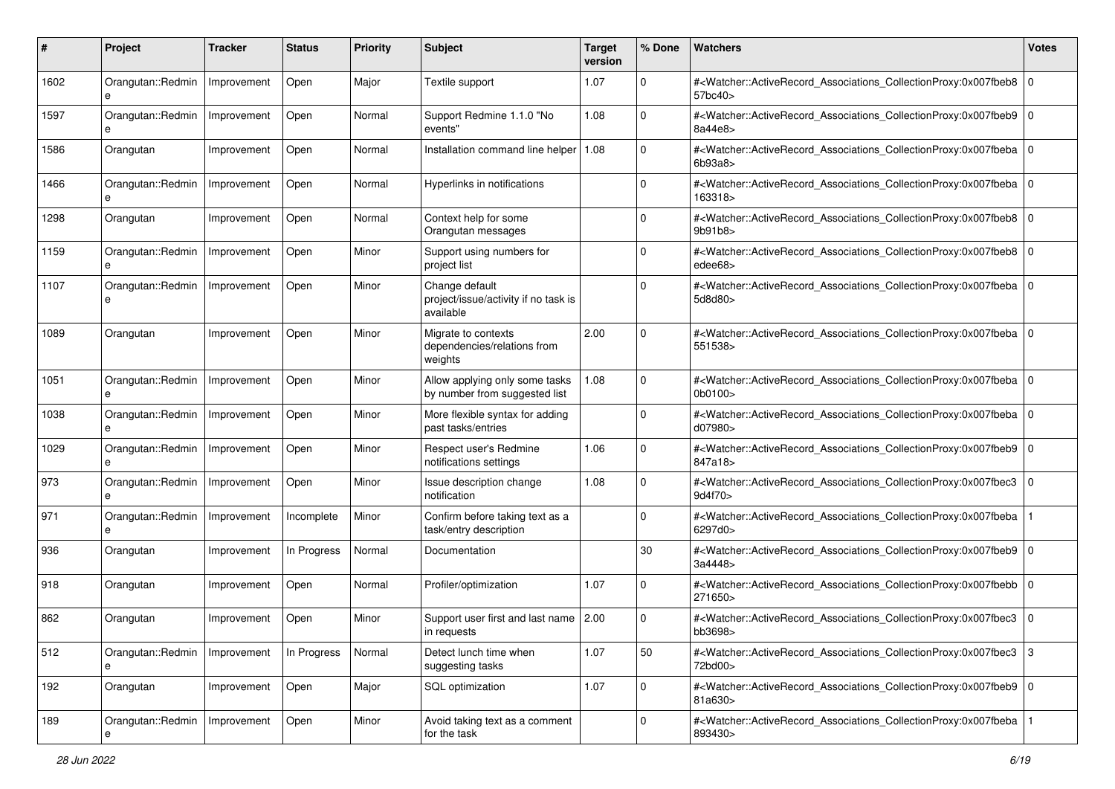| #    | Project                | <b>Tracker</b> | <b>Status</b> | <b>Priority</b> | <b>Subject</b>                                                      | <b>Target</b><br>version | % Done      | Watchers                                                                                                                                                 | <b>Votes</b> |
|------|------------------------|----------------|---------------|-----------------|---------------------------------------------------------------------|--------------------------|-------------|----------------------------------------------------------------------------------------------------------------------------------------------------------|--------------|
| 1602 | Orangutan::Redmin<br>e | Improvement    | Open          | Major           | Textile support                                                     | 1.07                     | 0           | # <watcher::activerecord_associations_collectionproxy:0x007fbeb8<br>57bc40&gt;</watcher::activerecord_associations_collectionproxy:0x007fbeb8<br>        | $\mathbf 0$  |
| 1597 | Orangutan::Redmin<br>e | Improvement    | Open          | Normal          | Support Redmine 1.1.0 "No<br>events"                                | 1.08                     | $\Omega$    | # <watcher::activerecord_associations_collectionproxy:0x007fbeb9 0<br="">8a44e8&gt;</watcher::activerecord_associations_collectionproxy:0x007fbeb9>      |              |
| 1586 | Orangutan              | Improvement    | Open          | Normal          | Installation command line helper                                    | 1.08                     | $\Omega$    | # <watcher::activerecord_associations_collectionproxy:0x007fbeba 0<br=""  ="">6b93a8</watcher::activerecord_associations_collectionproxy:0x007fbeba>     |              |
| 1466 | Orangutan::Redmin<br>e | Improvement    | Open          | Normal          | Hyperlinks in notifications                                         |                          | $\Omega$    | # <watcher::activerecord_associations_collectionproxy:0x007fbeba<br>163318&gt;</watcher::activerecord_associations_collectionproxy:0x007fbeba<br>        | l O          |
| 1298 | Orangutan              | Improvement    | Open          | Normal          | Context help for some<br>Orangutan messages                         |                          | $\Omega$    | # <watcher::activerecord associations="" collectionproxy:0x007fbeb8<br="">9b91b8</watcher::activerecord>                                                 | l O          |
| 1159 | Orangutan::Redmin      | Improvement    | Open          | Minor           | Support using numbers for<br>project list                           |                          | $\Omega$    | # <watcher::activerecord_associations_collectionproxy:0x007fbeb8  <br="">edee68&gt;</watcher::activerecord_associations_collectionproxy:0x007fbeb8>      | l O          |
| 1107 | Orangutan::Redmin<br>e | Improvement    | Open          | Minor           | Change default<br>project/issue/activity if no task is<br>available |                          | $\Omega$    | # <watcher::activerecord_associations_collectionproxy:0x007fbeba<br>5d8d80&gt;</watcher::activerecord_associations_collectionproxy:0x007fbeba<br>        | $\Omega$     |
| 1089 | Orangutan              | Improvement    | Open          | Minor           | Migrate to contexts<br>dependencies/relations from<br>weights       | 2.00                     | $\Omega$    | # <watcher::activerecord_associations_collectionproxy:0x007fbeba<br>551538&gt;</watcher::activerecord_associations_collectionproxy:0x007fbeba<br>        | $\Omega$     |
| 1051 | Orangutan::Redmin<br>e | Improvement    | Open          | Minor           | Allow applying only some tasks<br>by number from suggested list     | 1.08                     | $\Omega$    | # <watcher::activerecord_associations_collectionproxy:0x007fbeba<br>0b0100&gt;</watcher::activerecord_associations_collectionproxy:0x007fbeba<br>        | $\Omega$     |
| 1038 | Orangutan::Redmin<br>e | Improvement    | Open          | Minor           | More flexible syntax for adding<br>past tasks/entries               |                          | $\mathbf 0$ | # <watcher::activerecord_associations_collectionproxy:0x007fbeba<br>d07980&gt;</watcher::activerecord_associations_collectionproxy:0x007fbeba<br>        | $\Omega$     |
| 1029 | Orangutan::Redmin<br>e | Improvement    | Open          | Minor           | Respect user's Redmine<br>notifications settings                    | 1.06                     | $\mathbf 0$ | # <watcher::activerecord_associations_collectionproxy:0x007fbeb9 0<br=""  ="">847a18&gt;</watcher::activerecord_associations_collectionproxy:0x007fbeb9> |              |
| 973  | Orangutan::Redmin<br>e | Improvement    | Open          | Minor           | Issue description change<br>notification                            | 1.08                     | $\Omega$    | # <watcher::activerecord_associations_collectionproxy:0x007fbec3<br>9d4f70&gt;</watcher::activerecord_associations_collectionproxy:0x007fbec3<br>        | $\mathbf 0$  |
| 971  | Orangutan::Redmin<br>e | Improvement    | Incomplete    | Minor           | Confirm before taking text as a<br>task/entry description           |                          | $\Omega$    | # <watcher::activerecord_associations_collectionproxy:0x007fbeba<br>6297d0&gt;</watcher::activerecord_associations_collectionproxy:0x007fbeba<br>        |              |
| 936  | Orangutan              | Improvement    | In Progress   | Normal          | Documentation                                                       |                          | 30          | # <watcher::activerecord_associations_collectionproxy:0x007fbeb9 0<br="">3a4448&gt;</watcher::activerecord_associations_collectionproxy:0x007fbeb9>      |              |
| 918  | Orangutan              | Improvement    | Open          | Normal          | Profiler/optimization                                               | 1.07                     | $\Omega$    | # <watcher::activerecord_associations_collectionproxy:0x007fbebb<br>271650&gt;</watcher::activerecord_associations_collectionproxy:0x007fbebb<br>        | $\mathbf 0$  |
| 862  | Orangutan              | Improvement    | Open          | Minor           | Support user first and last name 2.00<br>in requests                |                          | $\Omega$    | # <watcher::activerecord_associations_collectionproxy:0x007fbec3<br>bb3698&gt;</watcher::activerecord_associations_collectionproxy:0x007fbec3<br>        | $\mathbf 0$  |
| 512  | Orangutan::Redmin<br>e | Improvement    | In Progress   | Normal          | Detect lunch time when<br>suggesting tasks                          | 1.07                     | 50          | # <watcher::activerecord_associations_collectionproxy:0x007fbec3<br>72bd00&gt;</watcher::activerecord_associations_collectionproxy:0x007fbec3<br>        | 3            |
| 192  | Orangutan              | Improvement    | Open          | Major           | SQL optimization                                                    | 1.07                     | $\mathbf 0$ | # <watcher::activerecord_associations_collectionproxy:0x007fbeb9 0<br=""  ="">81a630&gt;</watcher::activerecord_associations_collectionproxy:0x007fbeb9> |              |
| 189  | Orangutan::Redmin      | Improvement    | Open          | Minor           | Avoid taking text as a comment<br>for the task                      |                          | $\mathbf 0$ | # <watcher::activerecord associations="" collectionproxy:0x007fbeba<br="">893430&gt;</watcher::activerecord>                                             |              |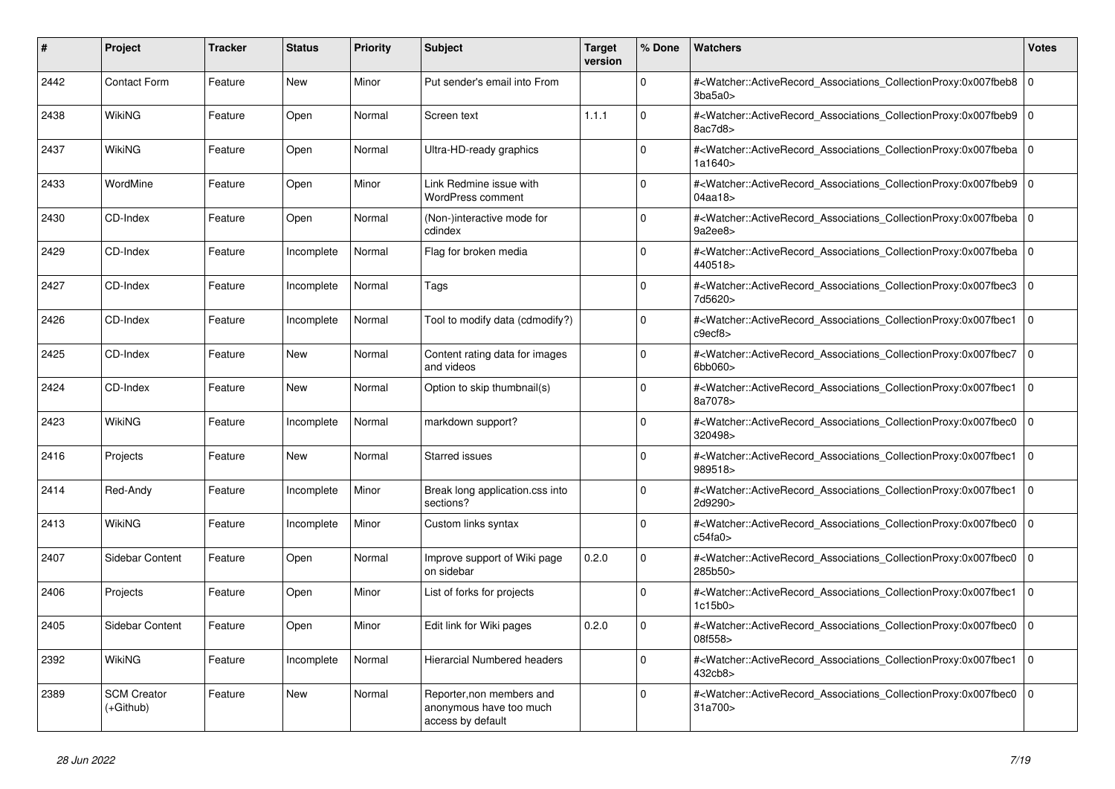| $\vert$ # | <b>Project</b>                    | <b>Tracker</b> | <b>Status</b> | <b>Priority</b> | <b>Subject</b>                                                            | <b>Target</b><br>version | % Done      | <b>Watchers</b>                                                                                                                                   | <b>Votes</b>   |
|-----------|-----------------------------------|----------------|---------------|-----------------|---------------------------------------------------------------------------|--------------------------|-------------|---------------------------------------------------------------------------------------------------------------------------------------------------|----------------|
| 2442      | <b>Contact Form</b>               | Feature        | New           | Minor           | Put sender's email into From                                              |                          | $\mathbf 0$ | # <watcher::activerecord associations="" collectionproxy:0x007fbeb8<br="">3ba5a0</watcher::activerecord>                                          | l O            |
| 2438      | WikiNG                            | Feature        | Open          | Normal          | Screen text                                                               | 1.1.1                    | $\Omega$    | # <watcher::activerecord associations="" collectionproxy:0x007fbeb9<br="">8ac7d8&gt;</watcher::activerecord>                                      | $\overline{0}$ |
| 2437      | WikiNG                            | Feature        | Open          | Normal          | Ultra-HD-ready graphics                                                   |                          | $\Omega$    | # <watcher::activerecord associations="" collectionproxy:0x007fbeba<br="">1a1640&gt;</watcher::activerecord>                                      | l O            |
| 2433      | WordMine                          | Feature        | Open          | Minor           | Link Redmine issue with<br><b>WordPress comment</b>                       |                          | $\Omega$    | # <watcher::activerecord_associations_collectionproxy:0x007fbeb9<br>04aa18&gt;</watcher::activerecord_associations_collectionproxy:0x007fbeb9<br> | l o            |
| 2430      | CD-Index                          | Feature        | Open          | Normal          | (Non-)interactive mode for<br>cdindex                                     |                          | $\Omega$    | # <watcher::activerecord associations="" collectionproxy:0x007fbeba<br="">9a2ee8&gt;</watcher::activerecord>                                      | $\overline{0}$ |
| 2429      | CD-Index                          | Feature        | Incomplete    | Normal          | Flag for broken media                                                     |                          | $\Omega$    | # <watcher::activerecord_associations_collectionproxy:0x007fbeba<br>440518&gt;</watcher::activerecord_associations_collectionproxy:0x007fbeba<br> | ۱o             |
| 2427      | CD-Index                          | Feature        | Incomplete    | Normal          | Tags                                                                      |                          | $\Omega$    | # <watcher::activerecord_associations_collectionproxy:0x007fbec3<br>7d5620&gt;</watcher::activerecord_associations_collectionproxy:0x007fbec3<br> | 0              |
| 2426      | CD-Index                          | Feature        | Incomplete    | Normal          | Tool to modify data (cdmodify?)                                           |                          | $\mathbf 0$ | # <watcher::activerecord_associations_collectionproxy:0x007fbec1<br>c9ect8</watcher::activerecord_associations_collectionproxy:0x007fbec1<br>     | 0              |
| 2425      | CD-Index                          | Feature        | <b>New</b>    | Normal          | Content rating data for images<br>and videos                              |                          | $\Omega$    | # <watcher::activerecord_associations_collectionproxy:0x007fbec7<br>6bb060&gt;</watcher::activerecord_associations_collectionproxy:0x007fbec7<br> | 0              |
| 2424      | CD-Index                          | Feature        | <b>New</b>    | Normal          | Option to skip thumbnail(s)                                               |                          | $\Omega$    | # <watcher::activerecord associations="" collectionproxy:0x007fbec1<br="">8a7078&gt;</watcher::activerecord>                                      | 0              |
| 2423      | WikiNG                            | Feature        | Incomplete    | Normal          | markdown support?                                                         |                          | $\mathbf 0$ | # <watcher::activerecord_associations_collectionproxy:0x007fbec0<br>320498&gt;</watcher::activerecord_associations_collectionproxy:0x007fbec0<br> | 0              |
| 2416      | Projects                          | Feature        | <b>New</b>    | Normal          | <b>Starred issues</b>                                                     |                          | $\Omega$    | # <watcher::activerecord associations="" collectionproxy:0x007fbec1<br="">989518&gt;</watcher::activerecord>                                      | $\overline{0}$ |
| 2414      | Red-Andy                          | Feature        | Incomplete    | Minor           | Break long application.css into<br>sections?                              |                          | $\Omega$    | # <watcher::activerecord associations="" collectionproxy:0x007fbec1<br="">2d9290&gt;</watcher::activerecord>                                      | $\overline{0}$ |
| 2413      | WikiNG                            | Feature        | Incomplete    | Minor           | Custom links syntax                                                       |                          | $\Omega$    | # <watcher::activerecord_associations_collectionproxy:0x007fbec0<br>c54fa0&gt;</watcher::activerecord_associations_collectionproxy:0x007fbec0<br> | $\overline{0}$ |
| 2407      | Sidebar Content                   | Feature        | Open          | Normal          | Improve support of Wiki page<br>on sidebar                                | 0.2.0                    | $\Omega$    | # <watcher::activerecord_associations_collectionproxy:0x007fbec0<br>285b50&gt;</watcher::activerecord_associations_collectionproxy:0x007fbec0<br> | $\overline{0}$ |
| 2406      | Projects                          | Feature        | Open          | Minor           | List of forks for projects                                                |                          | $\Omega$    | # <watcher::activerecord_associations_collectionproxy:0x007fbec1<br>1c15b0</watcher::activerecord_associations_collectionproxy:0x007fbec1<br>     | $\overline{0}$ |
| 2405      | <b>Sidebar Content</b>            | Feature        | Open          | Minor           | Edit link for Wiki pages                                                  | 0.2.0                    | $\Omega$    | # <watcher::activerecord_associations_collectionproxy:0x007fbec0<br>08f558&gt;</watcher::activerecord_associations_collectionproxy:0x007fbec0<br> | $\Omega$       |
| 2392      | WikiNG                            | Feature        | Incomplete    | Normal          | <b>Hierarcial Numbered headers</b>                                        |                          | $\mathbf 0$ | # <watcher::activerecord_associations_collectionproxy:0x007fbec1<br>432cb8&gt;</watcher::activerecord_associations_collectionproxy:0x007fbec1<br> | 0              |
| 2389      | <b>SCM Creator</b><br>$(+Github)$ | Feature        | <b>New</b>    | Normal          | Reporter, non members and<br>anonymous have too much<br>access by default |                          | $\Omega$    | # <watcher::activerecord_associations_collectionproxy:0x007fbec0<br>31a700&gt;</watcher::activerecord_associations_collectionproxy:0x007fbec0<br> | $\Omega$       |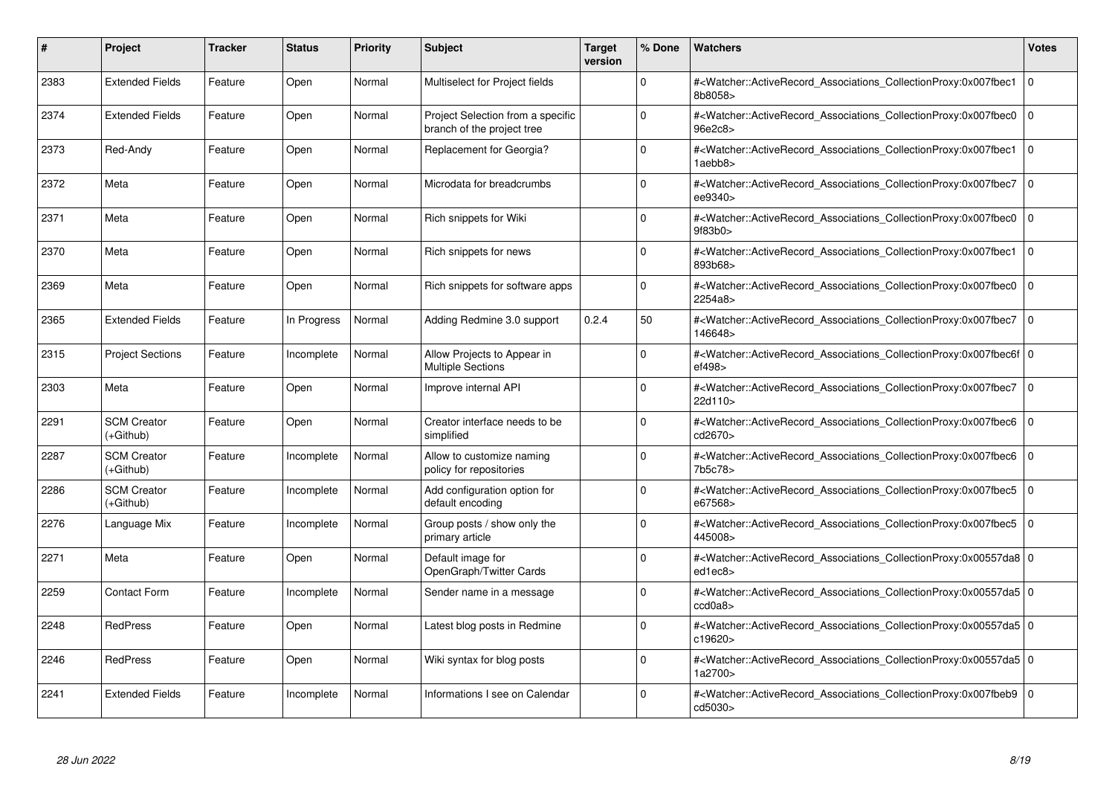| #    | Project                         | Tracker | <b>Status</b> | <b>Priority</b> | <b>Subject</b>                                                  | <b>Target</b><br>version | % Done   | <b>Watchers</b>                                                                                                                                          | <b>Votes</b> |
|------|---------------------------------|---------|---------------|-----------------|-----------------------------------------------------------------|--------------------------|----------|----------------------------------------------------------------------------------------------------------------------------------------------------------|--------------|
| 2383 | <b>Extended Fields</b>          | Feature | Open          | Normal          | Multiselect for Project fields                                  |                          | $\Omega$ | # <watcher::activerecord associations="" collectionproxy:0x007fbec1<br="">8b8058&gt;</watcher::activerecord>                                             | $\mathbf 0$  |
| 2374 | <b>Extended Fields</b>          | Feature | Open          | Normal          | Project Selection from a specific<br>branch of the project tree |                          | $\Omega$ | # <watcher::activerecord associations="" collectionproxy:0x007fbec0<br="">96e2c8&gt;</watcher::activerecord>                                             | $\mathbf 0$  |
| 2373 | Red-Andy                        | Feature | Open          | Normal          | Replacement for Georgia?                                        |                          | $\Omega$ | # <watcher::activerecord_associations_collectionproxy:0x007fbec1<br>1aebb8&gt;</watcher::activerecord_associations_collectionproxy:0x007fbec1<br>        | $\Omega$     |
| 2372 | Meta                            | Feature | Open          | Normal          | Microdata for breadcrumbs                                       |                          | $\Omega$ | # <watcher::activerecord_associations_collectionproxy:0x007fbec7 0<br=""  ="">ee9340&gt;</watcher::activerecord_associations_collectionproxy:0x007fbec7> |              |
| 2371 | Meta                            | Feature | Open          | Normal          | Rich snippets for Wiki                                          |                          | $\Omega$ | # <watcher::activerecord_associations_collectionproxy:0x007fbec0<br>9f83b0</watcher::activerecord_associations_collectionproxy:0x007fbec0<br>            | $\mathbf 0$  |
| 2370 | Meta                            | Feature | Open          | Normal          | Rich snippets for news                                          |                          | $\Omega$ | # <watcher::activerecord_associations_collectionproxy:0x007fbec1<br>893b68&gt;</watcher::activerecord_associations_collectionproxy:0x007fbec1<br>        | $\Omega$     |
| 2369 | Meta                            | Feature | Open          | Normal          | Rich snippets for software apps                                 |                          | $\Omega$ | # <watcher::activerecord associations="" collectionproxy:0x007fbec0<br="">2254a8&gt;</watcher::activerecord>                                             | $\mathbf 0$  |
| 2365 | <b>Extended Fields</b>          | Feature | In Progress   | Normal          | Adding Redmine 3.0 support                                      | 0.2.4                    | 50       | # <watcher::activerecord_associations_collectionproxy:0x007fbec7 0<br=""  ="">146648&gt;</watcher::activerecord_associations_collectionproxy:0x007fbec7> |              |
| 2315 | <b>Project Sections</b>         | Feature | Incomplete    | Normal          | Allow Projects to Appear in<br><b>Multiple Sections</b>         |                          | $\Omega$ | # <watcher::activerecord 0<br="" associations="" collectionproxy:0x007fbec6f=""  ="">ef498&gt;</watcher::activerecord>                                   |              |
| 2303 | Meta                            | Feature | Open          | Normal          | Improve internal API                                            |                          | $\Omega$ | # <watcher::activerecord 0<br="" associations="" collectionproxy:0x007fbec7=""  ="">22d110&gt;</watcher::activerecord>                                   |              |
| 2291 | <b>SCM Creator</b><br>(+Github) | Feature | Open          | Normal          | Creator interface needs to be<br>simplified                     |                          | $\Omega$ | # <watcher::activerecord_associations_collectionproxy:0x007fbec6<br>cd2670&gt;</watcher::activerecord_associations_collectionproxy:0x007fbec6<br>        | $\mathbf 0$  |
| 2287 | <b>SCM Creator</b><br>(+Github) | Feature | Incomplete    | Normal          | Allow to customize naming<br>policy for repositories            |                          | $\Omega$ | # <watcher::activerecord associations="" collectionproxy:0x007fbec6=""  <br="">7b5c78&gt;</watcher::activerecord>                                        | $\mathbf 0$  |
| 2286 | <b>SCM Creator</b><br>(+Github) | Feature | Incomplete    | Normal          | Add configuration option for<br>default encoding                |                          | $\Omega$ | # <watcher::activerecord associations="" collectionproxy:0x007fbec5=""  <br="">e67568&gt;</watcher::activerecord>                                        | $\mathbf 0$  |
| 2276 | Language Mix                    | Feature | Incomplete    | Normal          | Group posts / show only the<br>primary article                  |                          | $\Omega$ | # <watcher::activerecord_associations_collectionproxy:0x007fbec5<br>445008&gt;</watcher::activerecord_associations_collectionproxy:0x007fbec5<br>        | $\Omega$     |
| 2271 | Meta                            | Feature | Open          | Normal          | Default image for<br>OpenGraph/Twitter Cards                    |                          | $\Omega$ | # <watcher::activerecord 0<br="" associations="" collectionproxy:0x00557da8=""  ="">ed1ec8&gt;</watcher::activerecord>                                   |              |
| 2259 | <b>Contact Form</b>             | Feature | Incomplete    | Normal          | Sender name in a message                                        |                          | $\Omega$ | # <watcher::activerecord_associations_collectionproxy:0x00557da5 0<br=""  ="">ccd0a8</watcher::activerecord_associations_collectionproxy:0x00557da5>     |              |
| 2248 | <b>RedPress</b>                 | Feature | Open          | Normal          | Latest blog posts in Redmine                                    |                          | $\Omega$ | # <watcher::activerecord_associations_collectionproxy:0x00557da5 0<br=""  ="">c19620&gt;</watcher::activerecord_associations_collectionproxy:0x00557da5> |              |
| 2246 | <b>RedPress</b>                 | Feature | Open          | Normal          | Wiki syntax for blog posts                                      |                          | $\Omega$ | # <watcher::activerecord 0<br="" associations="" collectionproxy:0x00557da5=""  ="">1a2700&gt;</watcher::activerecord>                                   |              |
| 2241 | <b>Extended Fields</b>          | Feature | Incomplete    | Normal          | Informations I see on Calendar                                  |                          | $\Omega$ | # <watcher::activerecord_associations_collectionproxy:0x007fbeb9 0<br=""  ="">cd5030&gt;</watcher::activerecord_associations_collectionproxy:0x007fbeb9> |              |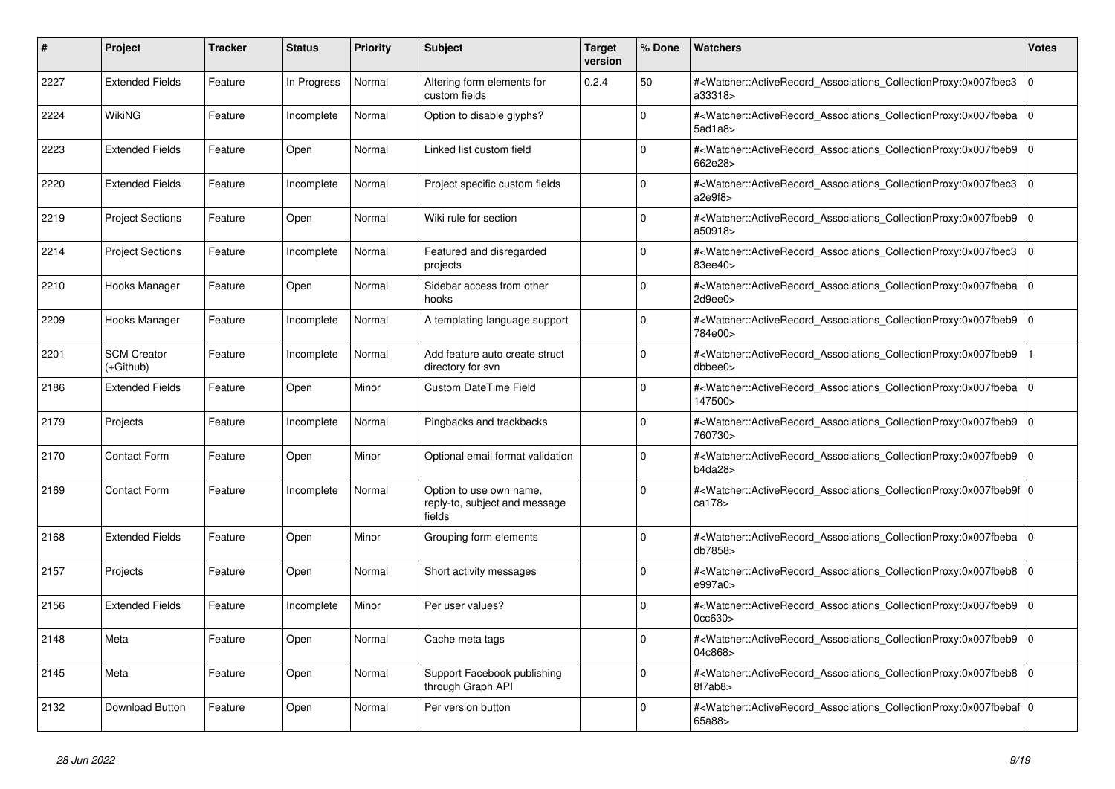| #    | <b>Project</b>                  | Tracker | <b>Status</b> | <b>Priority</b> | <b>Subject</b>                                                     | <b>Target</b><br>version | % Done      | <b>Watchers</b>                                                                                                                                                                | <b>Votes</b> |
|------|---------------------------------|---------|---------------|-----------------|--------------------------------------------------------------------|--------------------------|-------------|--------------------------------------------------------------------------------------------------------------------------------------------------------------------------------|--------------|
| 2227 | <b>Extended Fields</b>          | Feature | In Progress   | Normal          | Altering form elements for<br>custom fields                        | 0.2.4                    | 50          | # <watcher::activerecord_associations_collectionproxy:0x007fbec3<br>a33318&gt;</watcher::activerecord_associations_collectionproxy:0x007fbec3<br>                              | $\mathbf 0$  |
| 2224 | WikiNG                          | Feature | Incomplete    | Normal          | Option to disable glyphs?                                          |                          | $\Omega$    | # <watcher::activerecord_associations_collectionproxy:0x007fbeba 0<br=""  =""><math>5</math>ad<math>1a8</math></watcher::activerecord_associations_collectionproxy:0x007fbeba> |              |
| 2223 | <b>Extended Fields</b>          | Feature | Open          | Normal          | Linked list custom field                                           |                          | $\Omega$    | # <watcher::activerecord_associations_collectionproxy:0x007fbeb9 0<br="">662e28&gt;</watcher::activerecord_associations_collectionproxy:0x007fbeb9>                            |              |
| 2220 | <b>Extended Fields</b>          | Feature | Incomplete    | Normal          | Project specific custom fields                                     |                          | $\Omega$    | # <watcher::activerecord_associations_collectionproxy:0x007fbec3<br>a2e9f8</watcher::activerecord_associations_collectionproxy:0x007fbec3<br>                                  | $\Omega$     |
| 2219 | <b>Project Sections</b>         | Feature | Open          | Normal          | Wiki rule for section                                              |                          | $\Omega$    | # <watcher::activerecord associations="" collectionproxy:0x007fbeb9<br="">a50918&gt;</watcher::activerecord>                                                                   | $\mathbf 0$  |
| 2214 | <b>Project Sections</b>         | Feature | Incomplete    | Normal          | Featured and disregarded<br>projects                               |                          | $\Omega$    | # <watcher::activerecord_associations_collectionproxy:0x007fbec3<br>83ee40&gt;</watcher::activerecord_associations_collectionproxy:0x007fbec3<br>                              | $\mathbf 0$  |
| 2210 | Hooks Manager                   | Feature | Open          | Normal          | Sidebar access from other<br>hooks                                 |                          | $\Omega$    | # <watcher::activerecord_associations_collectionproxy:0x007fbeba  <br="">2d9ee0</watcher::activerecord_associations_collectionproxy:0x007fbeba>                                | $\Omega$     |
| 2209 | Hooks Manager                   | Feature | Incomplete    | Normal          | A templating language support                                      |                          | $\Omega$    | # <watcher::activerecord 0<br="" associations="" collectionproxy:0x007fbeb9=""  ="">784e00&gt;</watcher::activerecord>                                                         |              |
| 2201 | <b>SCM Creator</b><br>(+Github) | Feature | Incomplete    | Normal          | Add feature auto create struct<br>directory for svn                |                          | $\Omega$    | # <watcher::activerecord associations="" collectionproxy:0x007fbeb9<br="">dbbee0&gt;</watcher::activerecord>                                                                   |              |
| 2186 | <b>Extended Fields</b>          | Feature | Open          | Minor           | <b>Custom DateTime Field</b>                                       |                          | $\Omega$    | # <watcher::activerecord_associations_collectionproxy:0x007fbeba 0<br=""  ="">147500&gt;</watcher::activerecord_associations_collectionproxy:0x007fbeba>                       |              |
| 2179 | Projects                        | Feature | Incomplete    | Normal          | Pingbacks and trackbacks                                           |                          | $\Omega$    | # <watcher::activerecord_associations_collectionproxy:0x007fbeb9  <br="">760730&gt;</watcher::activerecord_associations_collectionproxy:0x007fbeb9>                            | $\mathbf 0$  |
| 2170 | <b>Contact Form</b>             | Feature | Open          | Minor           | Optional email format validation                                   |                          | $\Omega$    | # <watcher::activerecord_associations_collectionproxy:0x007fbeb9 0<br=""  ="">b4da28&gt;</watcher::activerecord_associations_collectionproxy:0x007fbeb9>                       |              |
| 2169 | <b>Contact Form</b>             | Feature | Incomplete    | Normal          | Option to use own name,<br>reply-to, subject and message<br>fields |                          | $\Omega$    | # <watcher::activerecord 0<br="" associations="" collectionproxy:0x007fbeb9f=""  ="">ca178&gt;</watcher::activerecord>                                                         |              |
| 2168 | <b>Extended Fields</b>          | Feature | Open          | Minor           | Grouping form elements                                             |                          | $\Omega$    | # <watcher::activerecord_associations_collectionproxy:0x007fbeba 0<br=""  ="">db7858&gt;</watcher::activerecord_associations_collectionproxy:0x007fbeba>                       |              |
| 2157 | Projects                        | Feature | Open          | Normal          | Short activity messages                                            |                          | $\Omega$    | # <watcher::activerecord 0<br="" associations="" collectionproxy:0x007fbeb8=""  ="">e997a0&gt;</watcher::activerecord>                                                         |              |
| 2156 | <b>Extended Fields</b>          | Feature | Incomplete    | Minor           | Per user values?                                                   |                          | $\mathbf 0$ | # <watcher::activerecord associations="" collectionproxy:0x007fbeb9<br="">0cc630&gt;</watcher::activerecord>                                                                   | $\mathbf 0$  |
| 2148 | Meta                            | Feature | Open          | Normal          | Cache meta tags                                                    |                          | $\Omega$    | # <watcher::activerecord_associations_collectionproxy:0x007fbeb9 0<br=""  ="">04c868&gt;</watcher::activerecord_associations_collectionproxy:0x007fbeb9>                       |              |
| 2145 | Meta                            | Feature | Open          | Normal          | Support Facebook publishing<br>through Graph API                   |                          | $\Omega$    | # <watcher::activerecord_associations_collectionproxy:0x007fbeb8 0<br=""  ="">8f7ab8&gt;</watcher::activerecord_associations_collectionproxy:0x007fbeb8>                       |              |
| 2132 | Download Button                 | Feature | Open          | Normal          | Per version button                                                 |                          | $\Omega$    | # <watcher::activerecord 0<br="" associations="" collectionproxy:0x007fbebaf=""  ="">65a88&gt;</watcher::activerecord>                                                         |              |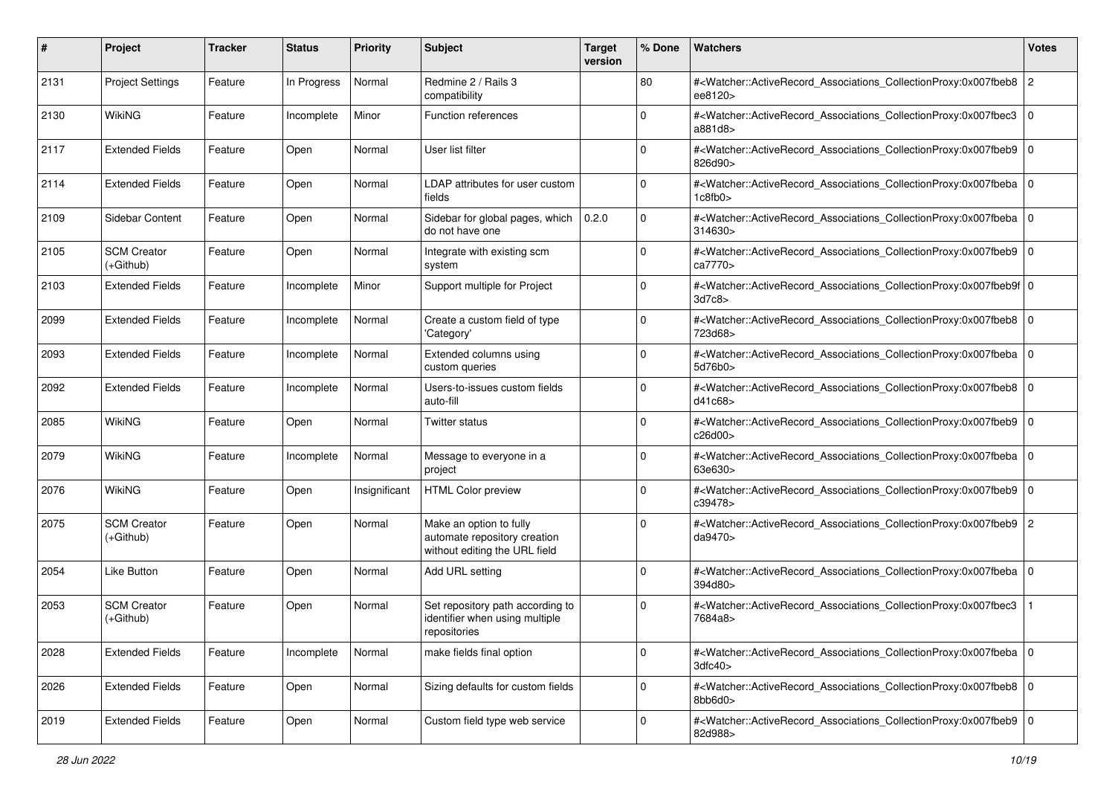| #    | Project                         | <b>Tracker</b> | <b>Status</b> | <b>Priority</b> | <b>Subject</b>                                                                           | <b>Target</b><br>version | % Done      | Watchers                                                                                                                                                 | <b>Votes</b>   |
|------|---------------------------------|----------------|---------------|-----------------|------------------------------------------------------------------------------------------|--------------------------|-------------|----------------------------------------------------------------------------------------------------------------------------------------------------------|----------------|
| 2131 | <b>Project Settings</b>         | Feature        | In Progress   | Normal          | Redmine 2 / Rails 3<br>compatibility                                                     |                          | 80          | # <watcher::activerecord_associations_collectionproxy:0x007fbeb8<br>ee8120&gt;</watcher::activerecord_associations_collectionproxy:0x007fbeb8<br>        | $\overline{c}$ |
| 2130 | WikiNG                          | Feature        | Incomplete    | Minor           | Function references                                                                      |                          | $\Omega$    | # <watcher::activerecord_associations_collectionproxy:0x007fbec3<br>a881d8&gt;</watcher::activerecord_associations_collectionproxy:0x007fbec3<br>        | $\mathbf 0$    |
| 2117 | <b>Extended Fields</b>          | Feature        | Open          | Normal          | User list filter                                                                         |                          | $\Omega$    | # <watcher::activerecord_associations_collectionproxy:0x007fbeb9 0<br=""  ="">826d90&gt;</watcher::activerecord_associations_collectionproxy:0x007fbeb9> |                |
| 2114 | <b>Extended Fields</b>          | Feature        | Open          | Normal          | LDAP attributes for user custom<br>fields                                                |                          | $\mathbf 0$ | # <watcher::activerecord_associations_collectionproxy:0x007fbeba<br>1c8fb0</watcher::activerecord_associations_collectionproxy:0x007fbeba<br>            | $\Omega$       |
| 2109 | Sidebar Content                 | Feature        | Open          | Normal          | Sidebar for global pages, which<br>do not have one                                       | 0.2.0                    | $\mathbf 0$ | # <watcher::activerecord 0<br="" associations="" collectionproxy:0x007fbeba="">314630&gt;</watcher::activerecord>                                        |                |
| 2105 | <b>SCM Creator</b><br>(+Github) | Feature        | Open          | Normal          | Integrate with existing scm<br>system                                                    |                          | $\Omega$    | # <watcher::activerecord_associations_collectionproxy:0x007fbeb9 0<br="">ca7770&gt;</watcher::activerecord_associations_collectionproxy:0x007fbeb9>      |                |
| 2103 | <b>Extended Fields</b>          | Feature        | Incomplete    | Minor           | Support multiple for Project                                                             |                          | $\mathbf 0$ | # <watcher::activerecord_associations_collectionproxy:0x007fbeb9f 0<br="">3d7c8</watcher::activerecord_associations_collectionproxy:0x007fbeb9f>         |                |
| 2099 | <b>Extended Fields</b>          | Feature        | Incomplete    | Normal          | Create a custom field of type<br>'Category'                                              |                          | 0           | # <watcher::activerecord_associations_collectionproxy:0x007fbeb8 0<br=""  ="">723d68&gt;</watcher::activerecord_associations_collectionproxy:0x007fbeb8> |                |
| 2093 | <b>Extended Fields</b>          | Feature        | Incomplete    | Normal          | Extended columns using<br>custom queries                                                 |                          | $\mathbf 0$ | # <watcher::activerecord_associations_collectionproxy:0x007fbeba  <br="">5d76b0&gt;</watcher::activerecord_associations_collectionproxy:0x007fbeba>      | l O            |
| 2092 | Extended Fields                 | Feature        | Incomplete    | Normal          | Users-to-issues custom fields<br>auto-fill                                               |                          | $\Omega$    | # <watcher::activerecord_associations_collectionproxy:0x007fbeb8 0<br=""  ="">d41c68&gt;</watcher::activerecord_associations_collectionproxy:0x007fbeb8> |                |
| 2085 | <b>WikiNG</b>                   | Feature        | Open          | Normal          | <b>Twitter status</b>                                                                    |                          | $\Omega$    | # <watcher::activerecord_associations_collectionproxy:0x007fbeb9 0<br=""  ="">c26d00&gt;</watcher::activerecord_associations_collectionproxy:0x007fbeb9> |                |
| 2079 | <b>WikiNG</b>                   | Feature        | Incomplete    | Normal          | Message to everyone in a<br>project                                                      |                          | $\Omega$    | # <watcher::activerecord_associations_collectionproxy:0x007fbeba 0<br=""  ="">63e630&gt;</watcher::activerecord_associations_collectionproxy:0x007fbeba> |                |
| 2076 | WikiNG                          | Feature        | Open          | Insignificant   | <b>HTML Color preview</b>                                                                |                          | $\Omega$    | # <watcher::activerecord_associations_collectionproxy:0x007fbeb9 0<br="">c39478&gt;</watcher::activerecord_associations_collectionproxy:0x007fbeb9>      |                |
| 2075 | <b>SCM Creator</b><br>(+Github) | Feature        | Open          | Normal          | Make an option to fully<br>automate repository creation<br>without editing the URL field |                          | $\Omega$    | # <watcher::activerecord_associations_collectionproxy:0x007fbeb9 2<br="">da9470&gt;</watcher::activerecord_associations_collectionproxy:0x007fbeb9>      |                |
| 2054 | Like Button                     | Feature        | Open          | Normal          | Add URL setting                                                                          |                          | $\Omega$    | # <watcher::activerecord_associations_collectionproxy:0x007fbeba<br>394d80&gt;</watcher::activerecord_associations_collectionproxy:0x007fbeba<br>        | $\mathbf 0$    |
| 2053 | <b>SCM Creator</b><br>(+Github) | Feature        | Open          | Normal          | Set repository path according to<br>identifier when using multiple<br>repositories       |                          | $\mathbf 0$ | # <watcher::activerecord_associations_collectionproxy:0x007fbec3<br>7684a8&gt;</watcher::activerecord_associations_collectionproxy:0x007fbec3<br>        |                |
| 2028 | <b>Extended Fields</b>          | Feature        | Incomplete    | Normal          | make fields final option                                                                 |                          | $\mathbf 0$ | # <watcher::activerecord 0<br="" associations="" collectionproxy:0x007fbeba="">3dfc40</watcher::activerecord>                                            |                |
| 2026 | <b>Extended Fields</b>          | Feature        | Open          | Normal          | Sizing defaults for custom fields                                                        |                          | $\mathbf 0$ | # <watcher::activerecord_associations_collectionproxy:0x007fbeb8 0<br="">8bb6d0&gt;</watcher::activerecord_associations_collectionproxy:0x007fbeb8>      |                |
| 2019 | <b>Extended Fields</b>          | Feature        | Open          | Normal          | Custom field type web service                                                            |                          | $\mathbf 0$ | # <watcher::activerecord 0<br="" associations="" collectionproxy:0x007fbeb9="">82d988&gt;</watcher::activerecord>                                        |                |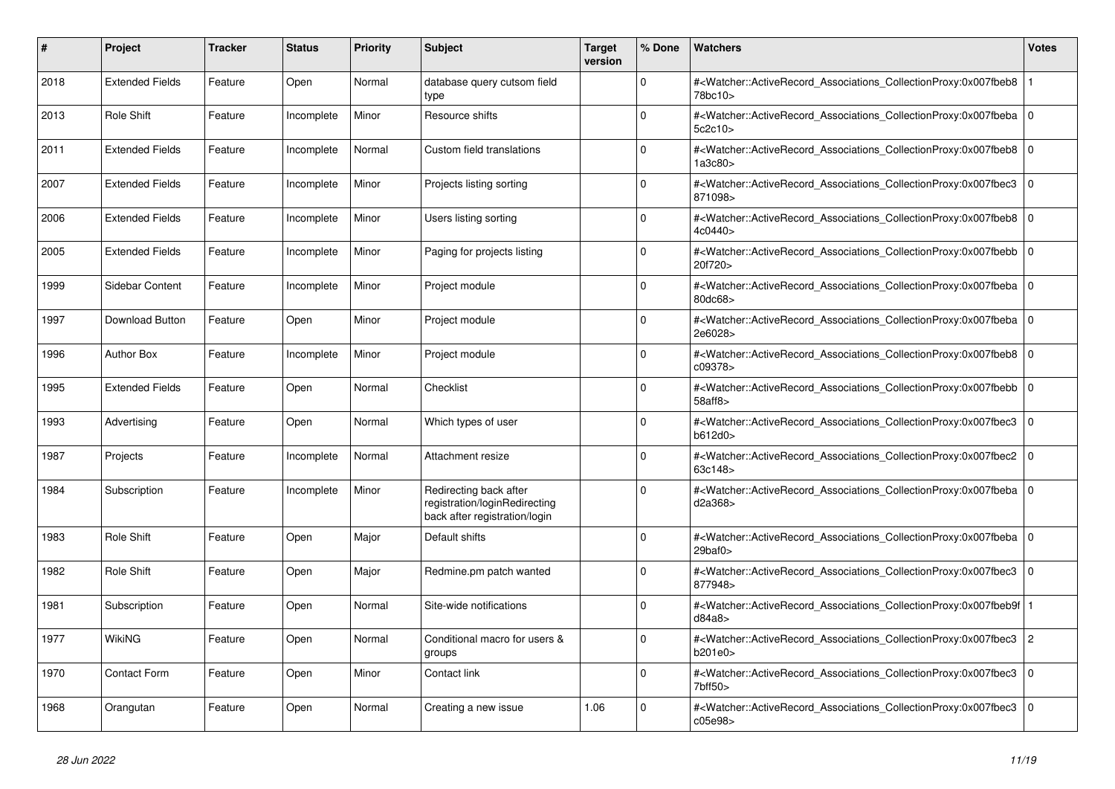| #    | <b>Project</b>         | Tracker | <b>Status</b> | <b>Priority</b> | <b>Subject</b>                                                                           | <b>Target</b><br>version | % Done   | <b>Watchers</b>                                                                                                                                                                | <b>Votes</b>   |
|------|------------------------|---------|---------------|-----------------|------------------------------------------------------------------------------------------|--------------------------|----------|--------------------------------------------------------------------------------------------------------------------------------------------------------------------------------|----------------|
| 2018 | <b>Extended Fields</b> | Feature | Open          | Normal          | database query cutsom field<br>type                                                      |                          | $\Omega$ | # <watcher::activerecord_associations_collectionproxy:0x007fbeb8<br>78bc10&gt;</watcher::activerecord_associations_collectionproxy:0x007fbeb8<br>                              |                |
| 2013 | Role Shift             | Feature | Incomplete    | Minor           | Resource shifts                                                                          |                          | $\Omega$ | # <watcher::activerecord 0<br="" associations="" collectionproxy:0x007fbeba=""  ="">5c2c10&gt;</watcher::activerecord>                                                         |                |
| 2011 | <b>Extended Fields</b> | Feature | Incomplete    | Normal          | Custom field translations                                                                |                          | $\Omega$ | # <watcher::activerecord_associations_collectionproxy:0x007fbeb8 0<br=""  ="">1a3c80&gt;</watcher::activerecord_associations_collectionproxy:0x007fbeb8>                       |                |
| 2007 | <b>Extended Fields</b> | Feature | Incomplete    | Minor           | Projects listing sorting                                                                 |                          | $\Omega$ | # <watcher::activerecord_associations_collectionproxy:0x007fbec3<br>871098&gt;</watcher::activerecord_associations_collectionproxy:0x007fbec3<br>                              | $\Omega$       |
| 2006 | <b>Extended Fields</b> | Feature | Incomplete    | Minor           | Users listing sorting                                                                    |                          | $\Omega$ | # <watcher::activerecord associations="" collectionproxy:0x007fbeb8<br="">4c0440&gt;</watcher::activerecord>                                                                   | $\mathbf 0$    |
| 2005 | <b>Extended Fields</b> | Feature | Incomplete    | Minor           | Paging for projects listing                                                              |                          | $\Omega$ | # <watcher::activerecord_associations_collectionproxy:0x007fbebb 0<br=""  ="">20f720&gt;</watcher::activerecord_associations_collectionproxy:0x007fbebb>                       |                |
| 1999 | Sidebar Content        | Feature | Incomplete    | Minor           | Project module                                                                           |                          | $\Omega$ | # <watcher::activerecord_associations_collectionproxy:0x007fbeba  <br="">80dc68&gt;</watcher::activerecord_associations_collectionproxy:0x007fbeba>                            | $\Omega$       |
| 1997 | <b>Download Button</b> | Feature | Open          | Minor           | Project module                                                                           |                          | $\Omega$ | # <watcher::activerecord 0<br="" associations="" collectionproxy:0x007fbeba=""  ="">2e6028&gt;</watcher::activerecord>                                                         |                |
| 1996 | <b>Author Box</b>      | Feature | Incomplete    | Minor           | Project module                                                                           |                          | $\Omega$ | # <watcher::activerecord 0<br="" associations="" collectionproxy:0x007fbeb8="">c09378&gt;</watcher::activerecord>                                                              |                |
| 1995 | <b>Extended Fields</b> | Feature | Open          | Normal          | Checklist                                                                                |                          | $\Omega$ | # <watcher::activerecord_associations_collectionproxy:0x007fbebb  <br="">58aff8</watcher::activerecord_associations_collectionproxy:0x007fbebb>                                | $\mathbf 0$    |
| 1993 | Advertising            | Feature | Open          | Normal          | Which types of user                                                                      |                          | $\Omega$ | # <watcher::activerecord_associations_collectionproxy:0x007fbec3<br>b612d0&gt;</watcher::activerecord_associations_collectionproxy:0x007fbec3<br>                              | $\mathbf 0$    |
| 1987 | Projects               | Feature | Incomplete    | Normal          | Attachment resize                                                                        |                          | $\Omega$ | # <watcher::activerecord_associations_collectionproxy:0x007fbec2  <br="">63c148&gt;</watcher::activerecord_associations_collectionproxy:0x007fbec2>                            | $\mathbf 0$    |
| 1984 | Subscription           | Feature | Incomplete    | Minor           | Redirecting back after<br>registration/loginRedirecting<br>back after registration/login |                          | $\Omega$ | # <watcher::activerecord associations="" collectionproxy:0x007fbeba<br="">d2a368&gt;</watcher::activerecord>                                                                   | $\mathbf 0$    |
| 1983 | Role Shift             | Feature | Open          | Major           | Default shifts                                                                           |                          | $\Omega$ | # <watcher::activerecord_associations_collectionproxy:0x007fbeba 0<br=""  =""><math>29</math>baf<math>0</math></watcher::activerecord_associations_collectionproxy:0x007fbeba> |                |
| 1982 | <b>Role Shift</b>      | Feature | Open          | Major           | Redmine.pm patch wanted                                                                  |                          | $\Omega$ | # <watcher::activerecord associations="" collectionproxy:0x007fbec3<br="">877948&gt;</watcher::activerecord>                                                                   | $\mathbf 0$    |
| 1981 | Subscription           | Feature | Open          | Normal          | Site-wide notifications                                                                  |                          | $\Omega$ | # <watcher::activerecord associations="" collectionproxy:0x007fbeb9f<br="">d84a8</watcher::activerecord>                                                                       |                |
| 1977 | WikiNG                 | Feature | Open          | Normal          | Conditional macro for users &<br>groups                                                  |                          | $\Omega$ | # <watcher::activerecord_associations_collectionproxy:0x007fbec3  <br="">b201e0</watcher::activerecord_associations_collectionproxy:0x007fbec3>                                | $\overline{2}$ |
| 1970 | <b>Contact Form</b>    | Feature | Open          | Minor           | Contact link                                                                             |                          | $\Omega$ | # <watcher::activerecord_associations_collectionproxy:0x007fbec3<br>7bff50&gt;</watcher::activerecord_associations_collectionproxy:0x007fbec3<br>                              | $\mathbf 0$    |
| 1968 | Orangutan              | Feature | Open          | Normal          | Creating a new issue                                                                     | 1.06                     | $\Omega$ | # <watcher::activerecord associations="" collectionproxy:0x007fbec3<br="">c05e98&gt;</watcher::activerecord>                                                                   | $\Omega$       |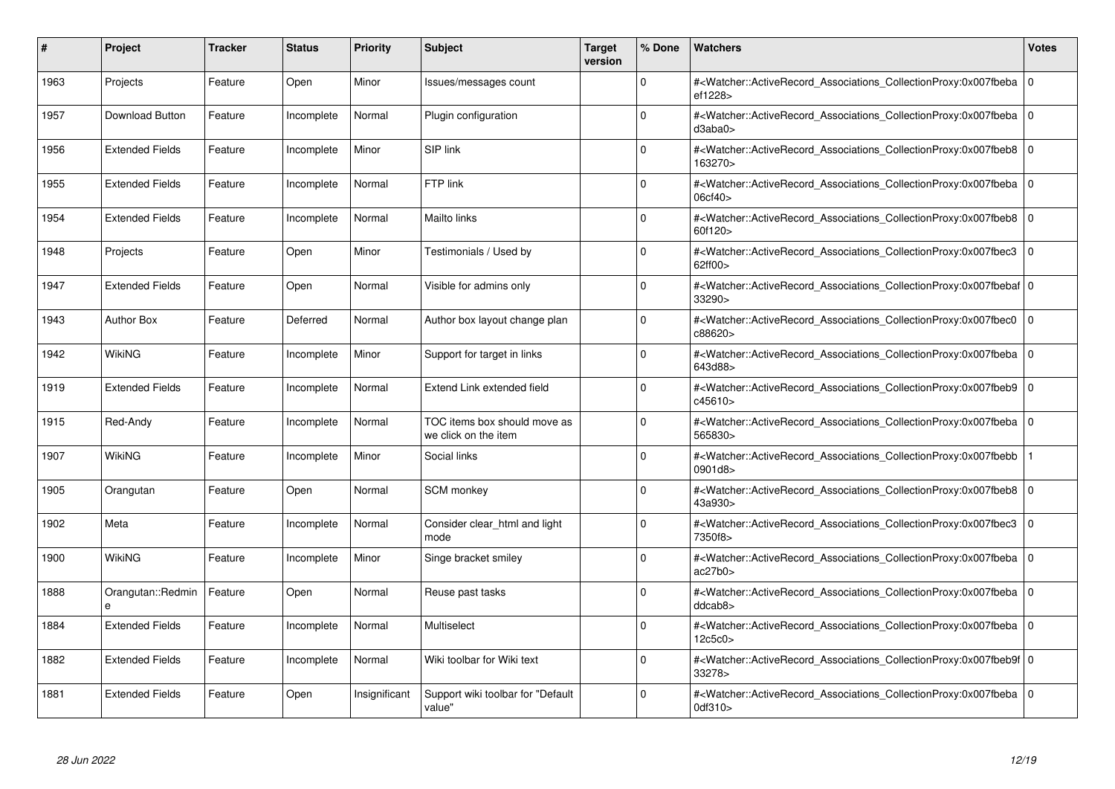| #    | Project                | <b>Tracker</b> | <b>Status</b> | <b>Priority</b> | <b>Subject</b>                                       | <b>Target</b><br>version | % Done   | <b>Watchers</b>                                                                                                                                          | <b>Votes</b> |
|------|------------------------|----------------|---------------|-----------------|------------------------------------------------------|--------------------------|----------|----------------------------------------------------------------------------------------------------------------------------------------------------------|--------------|
| 1963 | Projects               | Feature        | Open          | Minor           | Issues/messages count                                |                          | $\Omega$ | # <watcher::activerecord associations="" collectionproxy:0x007fbeba<br="">ef1228&gt;</watcher::activerecord>                                             | $\mathbf 0$  |
| 1957 | Download Button        | Feature        | Incomplete    | Normal          | Plugin configuration                                 |                          | $\Omega$ | # <watcher::activerecord 0<br="" associations="" collectionproxy:0x007fbeba=""  ="">d3aba0</watcher::activerecord>                                       |              |
| 1956 | <b>Extended Fields</b> | Feature        | Incomplete    | Minor           | SIP link                                             |                          | $\Omega$ | # <watcher::activerecord_associations_collectionproxy:0x007fbeb8 0<br="">163270&gt;</watcher::activerecord_associations_collectionproxy:0x007fbeb8>      |              |
| 1955 | <b>Extended Fields</b> | Feature        | Incomplete    | Normal          | FTP link                                             |                          | $\Omega$ | # <watcher::activerecord 0<br="" associations="" collectionproxy:0x007fbeba=""  ="">06cf40</watcher::activerecord>                                       |              |
| 1954 | <b>Extended Fields</b> | Feature        | Incomplete    | Normal          | Mailto links                                         |                          | $\Omega$ | # <watcher::activerecord_associations_collectionproxy:0x007fbeb8 0<br=""  ="">60f120&gt;</watcher::activerecord_associations_collectionproxy:0x007fbeb8> |              |
| 1948 | Projects               | Feature        | Open          | Minor           | Testimonials / Used by                               |                          | $\Omega$ | # <watcher::activerecord_associations_collectionproxy:0x007fbec3<br>62ff00&gt;</watcher::activerecord_associations_collectionproxy:0x007fbec3<br>        | $\Omega$     |
| 1947 | <b>Extended Fields</b> | Feature        | Open          | Normal          | Visible for admins only                              |                          | $\Omega$ | # <watcher::activerecord 0<br="" associations="" collectionproxy:0x007fbebaf=""  ="">33290&gt;</watcher::activerecord>                                   |              |
| 1943 | <b>Author Box</b>      | Feature        | Deferred      | Normal          | Author box layout change plan                        |                          | $\Omega$ | # <watcher::activerecord associations="" collectionproxy:0x007fbec0<br="">c88620&gt;</watcher::activerecord>                                             | $\Omega$     |
| 1942 | <b>WikiNG</b>          | Feature        | Incomplete    | Minor           | Support for target in links                          |                          | $\Omega$ | # <watcher::activerecord associations="" collectionproxy:0x007fbeba=""  <br="">643d88&gt;</watcher::activerecord>                                        | $\mathbf 0$  |
| 1919 | <b>Extended Fields</b> | Feature        | Incomplete    | Normal          | Extend Link extended field                           |                          | $\Omega$ | # <watcher::activerecord associations="" collectionproxy:0x007fbeb9=""  <br="">c45610&gt;</watcher::activerecord>                                        | $\mathbf 0$  |
| 1915 | Red-Andy               | Feature        | Incomplete    | Normal          | TOC items box should move as<br>we click on the item |                          | $\Omega$ | # <watcher::activerecord_associations_collectionproxy:0x007fbeba 0<br=""  ="">565830&gt;</watcher::activerecord_associations_collectionproxy:0x007fbeba> |              |
| 1907 | <b>WikiNG</b>          | Feature        | Incomplete    | Minor           | Social links                                         |                          | $\Omega$ | # <watcher::activerecord associations="" collectionproxy:0x007fbebb<br="">0901d8&gt;</watcher::activerecord>                                             |              |
| 1905 | Orangutan              | Feature        | Open          | Normal          | <b>SCM</b> monkey                                    |                          | $\Omega$ | # <watcher::activerecord associations="" collectionproxy:0x007fbeb8=""  <br="">43a930&gt;</watcher::activerecord>                                        | $\mathbf 0$  |
| 1902 | Meta                   | Feature        | Incomplete    | Normal          | Consider clear_html and light<br>mode                |                          | $\Omega$ | # <watcher::activerecord_associations_collectionproxy:0x007fbec3<br>7350f8&gt;</watcher::activerecord_associations_collectionproxy:0x007fbec3<br>        | $\mathbf 0$  |
| 1900 | WikiNG                 | Feature        | Incomplete    | Minor           | Singe bracket smiley                                 |                          | $\Omega$ | # <watcher::activerecord 0<br="" associations="" collectionproxy:0x007fbeba=""  ="">ac27b0</watcher::activerecord>                                       |              |
| 1888 | Orangutan::Redmin<br>e | Feature        | Open          | Normal          | Reuse past tasks                                     |                          | $\Omega$ | # <watcher::activerecord_associations_collectionproxy:0x007fbeba  <br="">ddcab8</watcher::activerecord_associations_collectionproxy:0x007fbeba>          | $\mathbf 0$  |
| 1884 | <b>Extended Fields</b> | Feature        | Incomplete    | Normal          | Multiselect                                          |                          | $\Omega$ | # <watcher::activerecord 0<br="" associations="" collectionproxy:0x007fbeba=""  ="">12c5c0&gt;</watcher::activerecord>                                   |              |
| 1882 | <b>Extended Fields</b> | Feature        | Incomplete    | Normal          | Wiki toolbar for Wiki text                           |                          | $\Omega$ | # <watcher::activerecord 0<br="" associations="" collectionproxy:0x007fbeb9f=""  ="">33278&gt;</watcher::activerecord>                                   |              |
| 1881 | <b>Extended Fields</b> | Feature        | Open          | Insignificant   | Support wiki toolbar for "Default<br>value"          |                          | $\Omega$ | # <watcher::activerecord 0<br="" associations="" collectionproxy:0x007fbeba=""  ="">0df310&gt;</watcher::activerecord>                                   |              |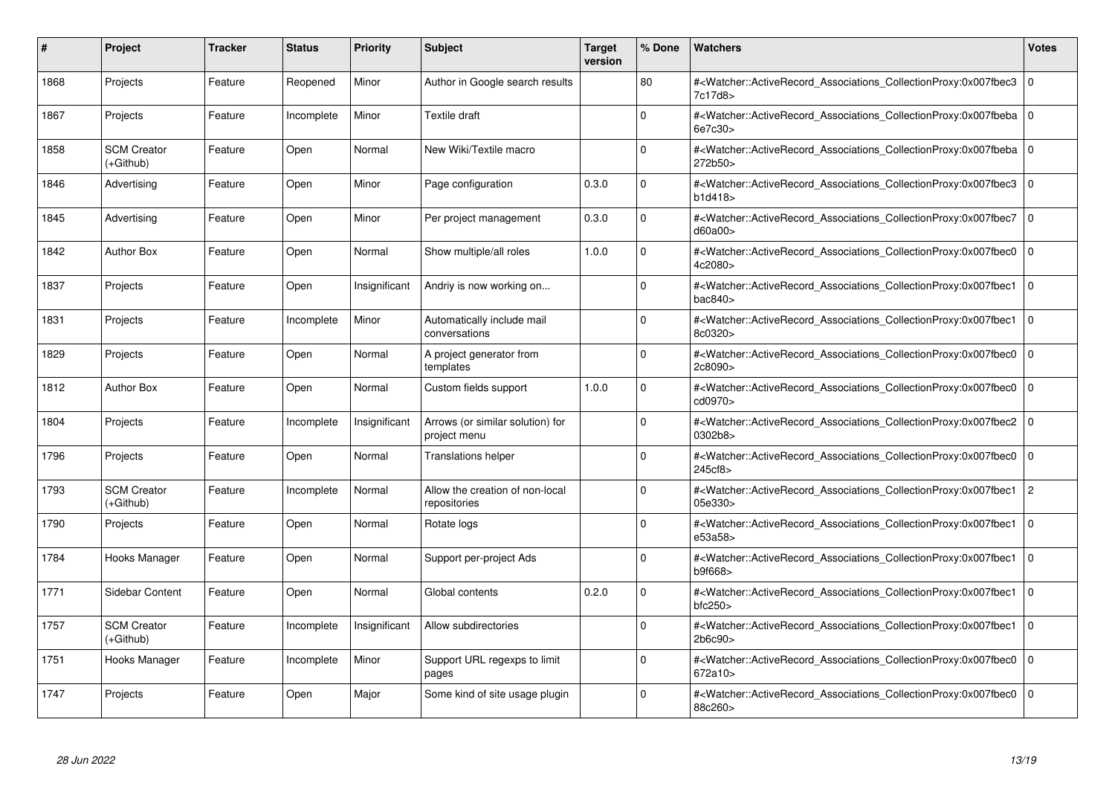| #    | Project                           | Tracker | <b>Status</b> | <b>Priority</b> | <b>Subject</b>                                   | <b>Target</b><br>version | % Done   | <b>Watchers</b>                                                                                                                                     | <b>Votes</b> |
|------|-----------------------------------|---------|---------------|-----------------|--------------------------------------------------|--------------------------|----------|-----------------------------------------------------------------------------------------------------------------------------------------------------|--------------|
| 1868 | Projects                          | Feature | Reopened      | Minor           | Author in Google search results                  |                          | 80       | # <watcher::activerecord associations="" collectionproxy:0x007fbec3<br="">7c17d8&gt;</watcher::activerecord>                                        | $\mathbf 0$  |
| 1867 | Projects                          | Feature | Incomplete    | Minor           | Textile draft                                    |                          | $\Omega$ | # <watcher::activerecord 0<br="" associations="" collectionproxy:0x007fbeba=""  ="">6e7c30&gt;</watcher::activerecord>                              |              |
| 1858 | <b>SCM Creator</b><br>(+Github)   | Feature | Open          | Normal          | New Wiki/Textile macro                           |                          | $\Omega$ | # <watcher::activerecord_associations_collectionproxy:0x007fbeba<br>272b50&gt;</watcher::activerecord_associations_collectionproxy:0x007fbeba<br>   | $\Omega$     |
| 1846 | Advertising                       | Feature | Open          | Minor           | Page configuration                               | 0.3.0                    | $\Omega$ | # <watcher::activerecord_associations_collectionproxy:0x007fbec3 0<br="">b1d418&gt;</watcher::activerecord_associations_collectionproxy:0x007fbec3> |              |
| 1845 | Advertising                       | Feature | Open          | Minor           | Per project management                           | 0.3.0                    | $\Omega$ | # <watcher::activerecord_associations_collectionproxy:0x007fbec7<br>d60a00&gt;</watcher::activerecord_associations_collectionproxy:0x007fbec7<br>   | $\mathbf 0$  |
| 1842 | <b>Author Box</b>                 | Feature | Open          | Normal          | Show multiple/all roles                          | 1.0.0                    | $\Omega$ | # <watcher::activerecord_associations_collectionproxy:0x007fbec0<br>4c2080&gt;</watcher::activerecord_associations_collectionproxy:0x007fbec0<br>   | $\Omega$     |
| 1837 | Projects                          | Feature | Open          | Insignificant   | Andriy is now working on                         |                          | $\Omega$ | # <watcher::activerecord associations="" collectionproxy:0x007fbec1<br="">bac840&gt;</watcher::activerecord>                                        | $\mathbf 0$  |
| 1831 | Projects                          | Feature | Incomplete    | Minor           | Automatically include mail<br>conversations      |                          | $\Omega$ | # <watcher::activerecord_associations_collectionproxy:0x007fbec1<br>8c0320&gt;</watcher::activerecord_associations_collectionproxy:0x007fbec1<br>   | $\mathbf 0$  |
| 1829 | Projects                          | Feature | Open          | Normal          | A project generator from<br>templates            |                          | $\Omega$ | # <watcher::activerecord associations="" collectionproxy:0x007fbec0<br="">2c8090&gt;</watcher::activerecord>                                        | $\mathbf 0$  |
| 1812 | <b>Author Box</b>                 | Feature | Open          | Normal          | Custom fields support                            | 1.0.0                    | $\Omega$ | # <watcher::activerecord associations="" collectionproxy:0x007fbec0<br="">cd0970&gt;</watcher::activerecord>                                        | $\mathbf 0$  |
| 1804 | Projects                          | Feature | Incomplete    | Insignificant   | Arrows (or similar solution) for<br>project menu |                          | $\Omega$ | # <watcher::activerecord_associations_collectionproxy:0x007fbec2  <br="">0302b8&gt;</watcher::activerecord_associations_collectionproxy:0x007fbec2> | $\mathbf 0$  |
| 1796 | Projects                          | Feature | Open          | Normal          | <b>Translations helper</b>                       |                          | $\Omega$ | # <watcher::activerecord associations="" collectionproxy:0x007fbec0<br="">245cf8&gt;</watcher::activerecord>                                        | $\mathbf 0$  |
| 1793 | <b>SCM Creator</b><br>$(+Github)$ | Feature | Incomplete    | Normal          | Allow the creation of non-local<br>repositories  |                          | $\Omega$ | # <watcher::activerecord associations="" collectionproxy:0x007fbec1<br="">05e330&gt;</watcher::activerecord>                                        | $\mathbf{2}$ |
| 1790 | Projects                          | Feature | Open          | Normal          | Rotate logs                                      |                          | $\Omega$ | # <watcher::activerecord_associations_collectionproxy:0x007fbec1<br>e53a58&gt;</watcher::activerecord_associations_collectionproxy:0x007fbec1<br>   | $\Omega$     |
| 1784 | Hooks Manager                     | Feature | Open          | Normal          | Support per-project Ads                          |                          | $\Omega$ | # <watcher::activerecord associations="" collectionproxy:0x007fbec1<br="">b9f668&gt;</watcher::activerecord>                                        | $\mathbf 0$  |
| 1771 | Sidebar Content                   | Feature | Open          | Normal          | Global contents                                  | 0.2.0                    | $\Omega$ | # <watcher::activerecord_associations_collectionproxy:0x007fbec1<br>bfc250</watcher::activerecord_associations_collectionproxy:0x007fbec1<br>       | $\mathbf 0$  |
| 1757 | <b>SCM Creator</b><br>(+Github)   | Feature | Incomplete    | Insignificant   | Allow subdirectories                             |                          | $\Omega$ | # <watcher::activerecord associations="" collectionproxy:0x007fbec1<br="">2b6c90&gt;</watcher::activerecord>                                        | $\Omega$     |
| 1751 | Hooks Manager                     | Feature | Incomplete    | Minor           | Support URL regexps to limit<br>pages            |                          | $\Omega$ | # <watcher::activerecord associations="" collectionproxy:0x007fbec0<br="">672a10&gt;</watcher::activerecord>                                        | $\mathbf 0$  |
| 1747 | Projects                          | Feature | Open          | Major           | Some kind of site usage plugin                   |                          | $\Omega$ | # <watcher::activerecord associations="" collectionproxy:0x007fbec0<br="">88c260&gt;</watcher::activerecord>                                        | $\mathbf 0$  |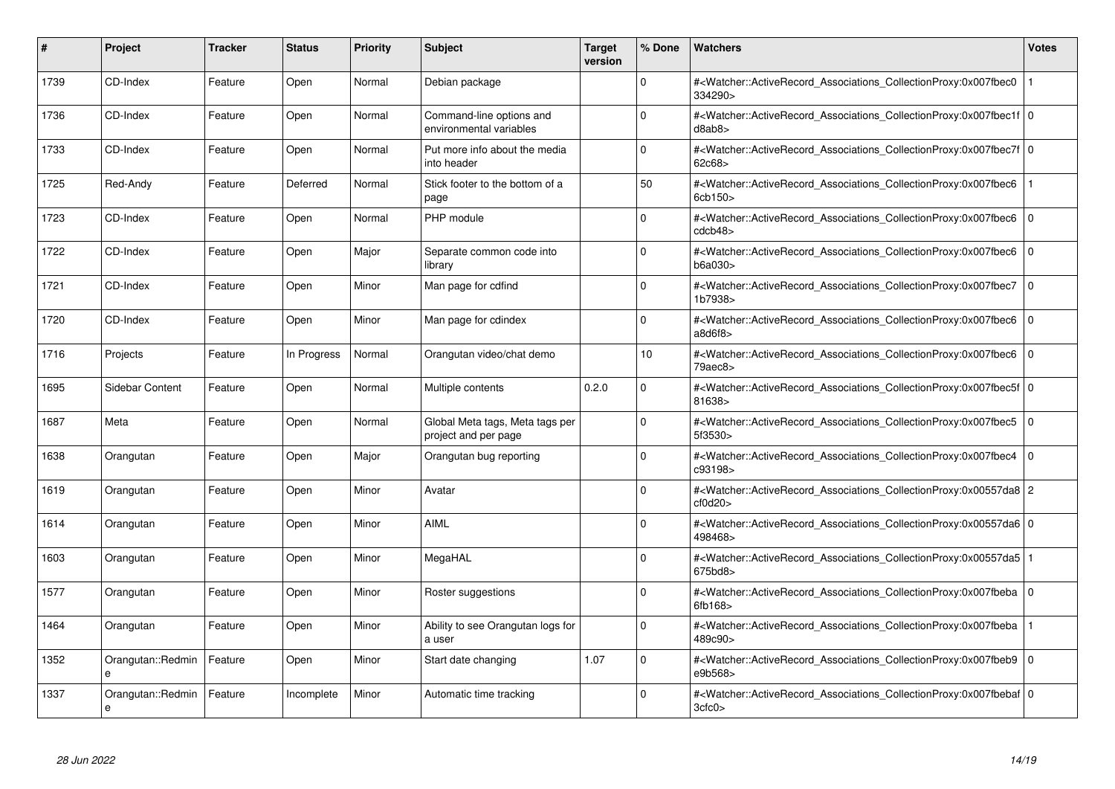| #    | Project                | <b>Tracker</b> | <b>Status</b> | <b>Priority</b> | <b>Subject</b>                                          | <b>Target</b><br>version | % Done      | <b>Watchers</b>                                                                                                                                                        | <b>Votes</b> |
|------|------------------------|----------------|---------------|-----------------|---------------------------------------------------------|--------------------------|-------------|------------------------------------------------------------------------------------------------------------------------------------------------------------------------|--------------|
| 1739 | CD-Index               | Feature        | Open          | Normal          | Debian package                                          |                          | $\Omega$    | # <watcher::activerecord_associations_collectionproxy:0x007fbec0<br>334290&gt;</watcher::activerecord_associations_collectionproxy:0x007fbec0<br>                      |              |
| 1736 | CD-Index               | Feature        | Open          | Normal          | Command-line options and<br>environmental variables     |                          | $\Omega$    | # <watcher::activerecord 0<br="" associations="" collectionproxy:0x007fbec1f=""  ="">d8ab8</watcher::activerecord>                                                     |              |
| 1733 | CD-Index               | Feature        | Open          | Normal          | Put more info about the media<br>into header            |                          | $\Omega$    | # <watcher::activerecord_associations_collectionproxy:0x007fbec7f 0<br=""  ="">62c68&gt;</watcher::activerecord_associations_collectionproxy:0x007fbec7f>              |              |
| 1725 | Red-Andy               | Feature        | Deferred      | Normal          | Stick footer to the bottom of a<br>page                 |                          | 50          | # <watcher::activerecord_associations_collectionproxy:0x007fbec6<br>6cb150&gt;</watcher::activerecord_associations_collectionproxy:0x007fbec6<br>                      |              |
| 1723 | CD-Index               | Feature        | Open          | Normal          | PHP module                                              |                          | $\Omega$    | # <watcher::activerecord associations="" collectionproxy:0x007fbec6<br="">cdcb48</watcher::activerecord>                                                               | $\mathbf 0$  |
| 1722 | CD-Index               | Feature        | Open          | Major           | Separate common code into<br>library                    |                          | $\Omega$    | # <watcher::activerecord associations="" collectionproxy:0x007fbec6<br="">b6a030&gt;</watcher::activerecord>                                                           | $\mathbf 0$  |
| 1721 | CD-Index               | Feature        | Open          | Minor           | Man page for cdfind                                     |                          | $\Omega$    | # <watcher::activerecord_associations_collectionproxy:0x007fbec7<br>1b7938&gt;</watcher::activerecord_associations_collectionproxy:0x007fbec7<br>                      | l 0          |
| 1720 | CD-Index               | Feature        | Open          | Minor           | Man page for cdindex                                    |                          | $\Omega$    | # <watcher::activerecord_associations_collectionproxy:0x007fbec6  <br="">a8d6f8</watcher::activerecord_associations_collectionproxy:0x007fbec6>                        | $\Omega$     |
| 1716 | Projects               | Feature        | In Progress   | Normal          | Orangutan video/chat demo                               |                          | 10          | # <watcher::activerecord associations="" collectionproxy:0x007fbec6<br="">79aec8&gt;</watcher::activerecord>                                                           | $\mathbf 0$  |
| 1695 | Sidebar Content        | Feature        | Open          | Normal          | Multiple contents                                       | 0.2.0                    | $\Omega$    | # <watcher::activerecord 0<br="" associations="" collectionproxy:0x007fbec5f=""  ="">81638&gt;</watcher::activerecord>                                                 |              |
| 1687 | Meta                   | Feature        | Open          | Normal          | Global Meta tags, Meta tags per<br>project and per page |                          | $\Omega$    | # <watcher::activerecord_associations_collectionproxy:0x007fbec5  <br="">5f3530&gt;</watcher::activerecord_associations_collectionproxy:0x007fbec5>                    | $\mathbf 0$  |
| 1638 | Orangutan              | Feature        | Open          | Major           | Orangutan bug reporting                                 |                          | $\Omega$    | # <watcher::activerecord_associations_collectionproxy:0x007fbec4  <br="">c93198&gt;</watcher::activerecord_associations_collectionproxy:0x007fbec4>                    | $\mathbf 0$  |
| 1619 | Orangutan              | Feature        | Open          | Minor           | Avatar                                                  |                          | $\Omega$    | # <watcher::activerecord 2<br="" associations="" collectionproxy:0x00557da8="">cf0d20</watcher::activerecord>                                                          |              |
| 1614 | Orangutan              | Feature        | Open          | Minor           | <b>AIML</b>                                             |                          | $\mathbf 0$ | # <watcher::activerecord 0<br="" associations="" collectionproxy:0x00557da6=""  ="">498468&gt;</watcher::activerecord>                                                 |              |
| 1603 | Orangutan              | Feature        | Open          | Minor           | MegaHAL                                                 |                          | $\Omega$    | # <watcher::activerecord_associations_collectionproxy:0x00557da5 1<br=""  ="">675bd8&gt;</watcher::activerecord_associations_collectionproxy:0x00557da5>               |              |
| 1577 | Orangutan              | Feature        | Open          | Minor           | Roster suggestions                                      |                          | $\Omega$    | # <watcher::activerecord associations="" collectionproxy:0x007fbeba<br="">6fb168</watcher::activerecord>                                                               | $\mathbf 0$  |
| 1464 | Orangutan              | Feature        | Open          | Minor           | Ability to see Orangutan logs for<br>a user             |                          | $\Omega$    | # <watcher::activerecord associations="" collectionproxy:0x007fbeba<br="">489c90&gt;</watcher::activerecord>                                                           |              |
| 1352 | Orangutan::Redmin<br>e | Feature        | Open          | Minor           | Start date changing                                     | 1.07                     | $\mathbf 0$ | # <watcher::activerecord associations="" collectionproxy:0x007fbeb9<br="">e9b568&gt;</watcher::activerecord>                                                           | $\mathbf 0$  |
| 1337 | Orangutan::Redmin<br>e | Feature        | Incomplete    | Minor           | Automatic time tracking                                 |                          | $\Omega$    | # <watcher::activerecord_associations_collectionproxy:0x007fbebaf 0<br=""  =""><math>3c</math>fc0&gt;</watcher::activerecord_associations_collectionproxy:0x007fbebaf> |              |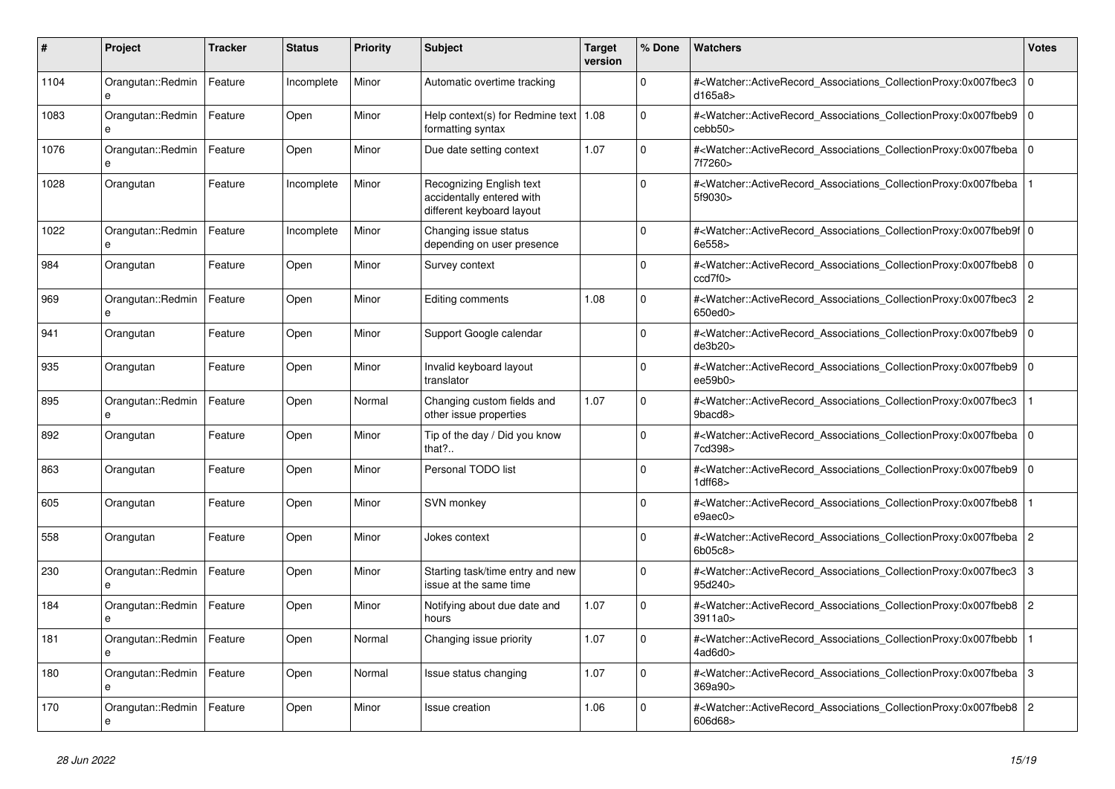| #    | <b>Project</b>                    | Tracker | <b>Status</b> | <b>Priority</b> | <b>Subject</b>                                                                     | <b>Target</b><br>version | % Done      | <b>Watchers</b>                                                                                                                                           | <b>Votes</b>   |
|------|-----------------------------------|---------|---------------|-----------------|------------------------------------------------------------------------------------|--------------------------|-------------|-----------------------------------------------------------------------------------------------------------------------------------------------------------|----------------|
| 1104 | Orangutan::Redmin<br>e            | Feature | Incomplete    | Minor           | Automatic overtime tracking                                                        |                          | $\Omega$    | # <watcher::activerecord_associations_collectionproxy:0x007fbec3<br>d165a8</watcher::activerecord_associations_collectionproxy:0x007fbec3<br>             | $\overline{0}$ |
| 1083 | Orangutan::Redmin<br>e            | Feature | Open          | Minor           | Help context(s) for Redmine text   1.08<br>formatting syntax                       |                          | $\Omega$    | # <watcher::activerecord_associations_collectionproxy:0x007fbeb9<br>cebb50&gt;</watcher::activerecord_associations_collectionproxy:0x007fbeb9<br>         | $\overline{0}$ |
| 1076 | Orangutan::Redmin<br>$\mathbf{a}$ | Feature | Open          | Minor           | Due date setting context                                                           | 1.07                     | $\mathbf 0$ | # <watcher::activerecord_associations_collectionproxy:0x007fbeba 0<br=""  ="">7f7260&gt;</watcher::activerecord_associations_collectionproxy:0x007fbeba>  |                |
| 1028 | Orangutan                         | Feature | Incomplete    | Minor           | Recognizing English text<br>accidentally entered with<br>different keyboard layout |                          | $\Omega$    | # <watcher::activerecord_associations_collectionproxy:0x007fbeba<br>5f9030&gt;</watcher::activerecord_associations_collectionproxy:0x007fbeba<br>         |                |
| 1022 | Orangutan::Redmin<br>e            | Feature | Incomplete    | Minor           | Changing issue status<br>depending on user presence                                |                          | $\Omega$    | # <watcher::activerecord_associations_collectionproxy:0x007fbeb9f 0<br=""  ="">6e558&gt;</watcher::activerecord_associations_collectionproxy:0x007fbeb9f> |                |
| 984  | Orangutan                         | Feature | Open          | Minor           | Survey context                                                                     |                          | $\Omega$    | # <watcher::activerecord 0<br="" associations="" collectionproxy:0x007fbeb8="">ccd7f0</watcher::activerecord>                                             |                |
| 969  | Orangutan::Redmin<br>e            | Feature | Open          | Minor           | Editing comments                                                                   | 1.08                     | $\Omega$    | # <watcher::activerecord associations="" collectionproxy:0x007fbec3<br="">650ed0&gt;</watcher::activerecord>                                              | $\overline{2}$ |
| 941  | Orangutan                         | Feature | Open          | Minor           | Support Google calendar                                                            |                          | $\Omega$    | # <watcher::activerecord_associations_collectionproxy:0x007fbeb9<br>de3b20&gt;</watcher::activerecord_associations_collectionproxy:0x007fbeb9<br>         | l o            |
| 935  | Orangutan                         | Feature | Open          | Minor           | Invalid keyboard layout<br>translator                                              |                          | $\Omega$    | # <watcher::activerecord_associations_collectionproxy:0x007fbeb9 0<br=""  ="">ee59b0&gt;</watcher::activerecord_associations_collectionproxy:0x007fbeb9>  |                |
| 895  | Orangutan::Redmin                 | Feature | Open          | Normal          | Changing custom fields and<br>other issue properties                               | 1.07                     | $\Omega$    | # <watcher::activerecord_associations_collectionproxy:0x007fbec3<br>9bacd8&gt;</watcher::activerecord_associations_collectionproxy:0x007fbec3<br>         |                |
| 892  | Orangutan                         | Feature | Open          | Minor           | Tip of the day / Did you know<br>that?                                             |                          | $\Omega$    | # <watcher::activerecord_associations_collectionproxy:0x007fbeba 0<br=""  ="">7cd398&gt;</watcher::activerecord_associations_collectionproxy:0x007fbeba>  |                |
| 863  | Orangutan                         | Feature | Open          | Minor           | Personal TODO list                                                                 |                          | $\Omega$    | # <watcher::activerecord 0<br="" associations="" collectionproxy:0x007fbeb9=""  ="">1dff68&gt;</watcher::activerecord>                                    |                |
| 605  | Orangutan                         | Feature | Open          | Minor           | SVN monkey                                                                         |                          | $\mathbf 0$ | # <watcher::activerecord associations="" collectionproxy:0x007fbeb8<br="">e9aec0&gt;</watcher::activerecord>                                              |                |
| 558  | Orangutan                         | Feature | Open          | Minor           | Jokes context                                                                      |                          | $\Omega$    | # <watcher::activerecord_associations_collectionproxy:0x007fbeba 2<br="">6b05c8&gt;</watcher::activerecord_associations_collectionproxy:0x007fbeba>       |                |
| 230  | Orangutan::Redmin<br>e            | Feature | Open          | Minor           | Starting task/time entry and new<br>issue at the same time                         |                          | $\Omega$    | # <watcher::activerecord 3<br="" associations="" collectionproxy:0x007fbec3="">95d240&gt;</watcher::activerecord>                                         |                |
| 184  | Orangutan::Redmin<br>e            | Feature | Open          | Minor           | Notifying about due date and<br>hours                                              | 1.07                     | $\mathbf 0$ | # <watcher::activerecord associations="" collectionproxy:0x007fbeb8<br="">3911a0 &gt;</watcher::activerecord>                                             | $\overline{2}$ |
| 181  | Orangutan::Redmin                 | Feature | Open          | Normal          | Changing issue priority                                                            | 1.07                     | $\Omega$    | # <watcher::activerecord_associations_collectionproxy:0x007fbebb<br>4ad6d0</watcher::activerecord_associations_collectionproxy:0x007fbebb<br>             |                |
| 180  | Orangutan::Redmin<br>e            | Feature | Open          | Normal          | Issue status changing                                                              | 1.07                     | $\Omega$    | # <watcher::activerecord_associations_collectionproxy:0x007fbeba 3<br=""  ="">369a90&gt;</watcher::activerecord_associations_collectionproxy:0x007fbeba>  |                |
| 170  | Orangutan::Redmin<br>e            | Feature | Open          | Minor           | <b>Issue creation</b>                                                              | 1.06                     | $\Omega$    | # <watcher::activerecord associations="" collectionproxy:0x007fbeb8<br="">606d68&gt;</watcher::activerecord>                                              | $\overline{2}$ |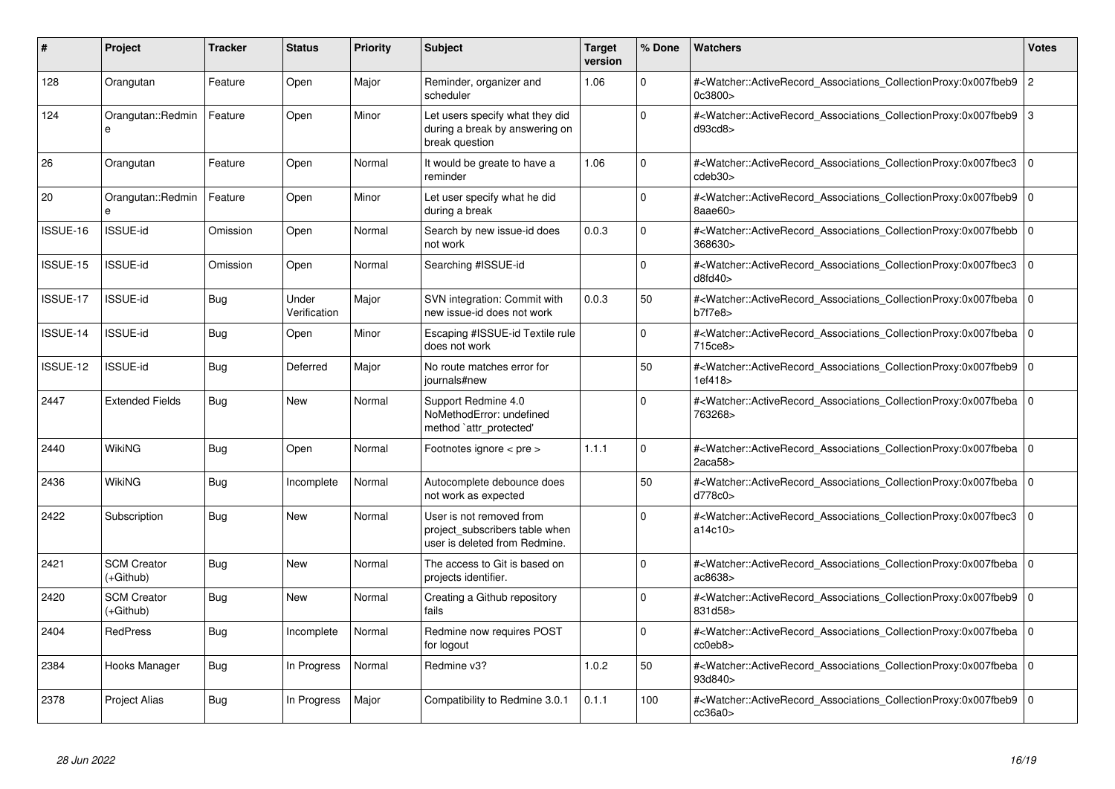| #        | <b>Project</b>                  | <b>Tracker</b> | <b>Status</b>         | <b>Priority</b> | <b>Subject</b>                                                                              | <b>Target</b><br>version | % Done      | <b>Watchers</b>                                                                                                                                          | <b>Votes</b>   |
|----------|---------------------------------|----------------|-----------------------|-----------------|---------------------------------------------------------------------------------------------|--------------------------|-------------|----------------------------------------------------------------------------------------------------------------------------------------------------------|----------------|
| 128      | Orangutan                       | Feature        | Open                  | Major           | Reminder, organizer and<br>scheduler                                                        | 1.06                     | $\Omega$    | # <watcher::activerecord_associations_collectionproxy:0x007fbeb9 2<br="">0c3800&gt;</watcher::activerecord_associations_collectionproxy:0x007fbeb9>      |                |
| 124      | Orangutan::Redmin<br>e          | Feature        | Open                  | Minor           | Let users specify what they did<br>during a break by answering on<br>break question         |                          | $\Omega$    | # <watcher::activerecord_associations_collectionproxy:0x007fbeb9 3<br="">d93cd8</watcher::activerecord_associations_collectionproxy:0x007fbeb9>          |                |
| 26       | Orangutan                       | Feature        | Open                  | Normal          | It would be greate to have a<br>reminder                                                    | 1.06                     | $\mathbf 0$ | # <watcher::activerecord associations="" collectionproxy:0x007fbec3<br="">cdeb30&gt;</watcher::activerecord>                                             | $\overline{0}$ |
| 20       | Orangutan::Redmin<br>e          | Feature        | Open                  | Minor           | Let user specify what he did<br>during a break                                              |                          | 0           | # <watcher::activerecord 0<br="" associations="" collectionproxy:0x007fbeb9=""  ="">8aae60&gt;</watcher::activerecord>                                   |                |
| ISSUE-16 | <b>ISSUE-id</b>                 | Omission       | Open                  | Normal          | Search by new issue-id does<br>not work                                                     | 0.0.3                    | $\Omega$    | # <watcher::activerecord_associations_collectionproxy:0x007fbebb 0<br=""  ="">368630&gt;</watcher::activerecord_associations_collectionproxy:0x007fbebb> |                |
| ISSUE-15 | <b>ISSUE-id</b>                 | Omission       | Open                  | Normal          | Searching #ISSUE-id                                                                         |                          | $\Omega$    | # <watcher::activerecord associations="" collectionproxy:0x007fbec3<br="">d8fd40</watcher::activerecord>                                                 | l o            |
| ISSUE-17 | <b>ISSUE-id</b>                 | Bug            | Under<br>Verification | Major           | SVN integration: Commit with<br>new issue-id does not work                                  | 0.0.3                    | 50          | # <watcher::activerecord_associations_collectionproxy:0x007fbeba 0<br="">b7f7e8&gt;</watcher::activerecord_associations_collectionproxy:0x007fbeba>      |                |
| ISSUE-14 | <b>ISSUE-id</b>                 | Bug            | Open                  | Minor           | Escaping #ISSUE-id Textile rule<br>does not work                                            |                          | $\Omega$    | # <watcher::activerecord 0<br="" associations="" collectionproxy:0x007fbeba=""  ="">715ce8&gt;</watcher::activerecord>                                   |                |
| ISSUE-12 | <b>ISSUE-id</b>                 | Bug            | Deferred              | Major           | No route matches error for<br>journals#new                                                  |                          | 50          | # <watcher::activerecord_associations_collectionproxy:0x007fbeb9 0<br=""  ="">1ef418</watcher::activerecord_associations_collectionproxy:0x007fbeb9>     |                |
| 2447     | <b>Extended Fields</b>          | Bug            | <b>New</b>            | Normal          | Support Redmine 4.0<br>NoMethodError: undefined<br>method `attr_protected'                  |                          | $\Omega$    | # <watcher::activerecord_associations_collectionproxy:0x007fbeba 0<br=""  ="">763268&gt;</watcher::activerecord_associations_collectionproxy:0x007fbeba> |                |
| 2440     | WikiNG                          | Bug            | Open                  | Normal          | Footnotes ignore $\lt$ pre $\gt$                                                            | 1.1.1                    | $\Omega$    | # <watcher::activerecord 0<br="" associations="" collectionproxy:0x007fbeba=""  ="">2aca58</watcher::activerecord>                                       |                |
| 2436     | <b>WikiNG</b>                   | Bug            | Incomplete            | Normal          | Autocomplete debounce does<br>not work as expected                                          |                          | 50          | # <watcher::activerecord_associations_collectionproxy:0x007fbeba 0<br=""  ="">d778c0&gt;</watcher::activerecord_associations_collectionproxy:0x007fbeba> |                |
| 2422     | Subscription                    | Bug            | New                   | Normal          | User is not removed from<br>project subscribers table when<br>user is deleted from Redmine. |                          | $\Omega$    | # <watcher::activerecord_associations_collectionproxy:0x007fbec3<br>a14c10&gt;</watcher::activerecord_associations_collectionproxy:0x007fbec3<br>        | $\overline{0}$ |
| 2421     | <b>SCM Creator</b><br>(+Github) | <b>Bug</b>     | <b>New</b>            | Normal          | The access to Git is based on<br>projects identifier.                                       |                          | 0           | # <watcher::activerecord 0<br="" associations="" collectionproxy:0x007fbeba=""  ="">ac8638</watcher::activerecord>                                       |                |
| 2420     | <b>SCM Creator</b><br>(+Github) | Bug            | New                   | Normal          | Creating a Github repository<br>fails                                                       |                          | $\Omega$    | # <watcher::activerecord 0<br="" associations="" collectionproxy:0x007fbeb9=""  ="">831d58&gt;</watcher::activerecord>                                   |                |
| 2404     | <b>RedPress</b>                 | Bug            | Incomplete            | Normal          | Redmine now requires POST<br>for logout                                                     |                          | $\Omega$    | # <watcher::activerecord_associations_collectionproxy:0x007fbeba 0<br=""  ="">cc0eb8</watcher::activerecord_associations_collectionproxy:0x007fbeba>     |                |
| 2384     | Hooks Manager                   | Bug            | In Progress           | Normal          | Redmine v3?                                                                                 | 1.0.2                    | 50          | # <watcher::activerecord_associations_collectionproxy:0x007fbeba 0<br=""  ="">93d840&gt;</watcher::activerecord_associations_collectionproxy:0x007fbeba> |                |
| 2378     | Project Alias                   | Bug            | In Progress           | Major           | Compatibility to Redmine 3.0.1                                                              | 0.1.1                    | 100         | # <watcher::activerecord_associations_collectionproxy:0x007fbeb9 0<br=""  ="">cc36a0</watcher::activerecord_associations_collectionproxy:0x007fbeb9>     |                |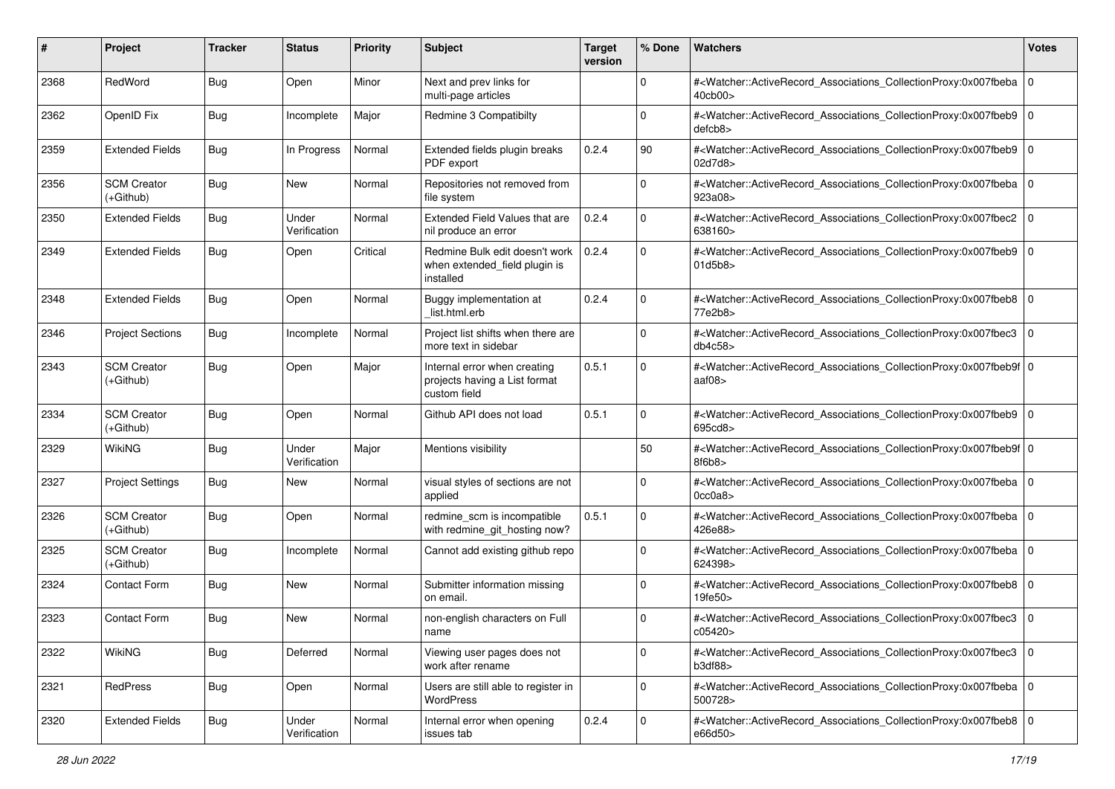| #    | Project                           | <b>Tracker</b> | <b>Status</b>         | <b>Priority</b> | <b>Subject</b>                                                                | <b>Target</b><br>version | % Done      | <b>Watchers</b>                                                                                                                                               | <b>Votes</b> |
|------|-----------------------------------|----------------|-----------------------|-----------------|-------------------------------------------------------------------------------|--------------------------|-------------|---------------------------------------------------------------------------------------------------------------------------------------------------------------|--------------|
| 2368 | RedWord                           | <b>Bug</b>     | Open                  | Minor           | Next and prev links for<br>multi-page articles                                |                          | 0           | # <watcher::activerecord_associations_collectionproxy:0x007fbeba<br>40cb00&gt;</watcher::activerecord_associations_collectionproxy:0x007fbeba<br>             | l O          |
| 2362 | OpenID Fix                        | <b>Bug</b>     | Incomplete            | Major           | Redmine 3 Compatibilty                                                        |                          | 0           | # <watcher::activerecord_associations_collectionproxy:0x007fbeb9 0<br="">defcb8</watcher::activerecord_associations_collectionproxy:0x007fbeb9>               |              |
| 2359 | <b>Extended Fields</b>            | <b>Bug</b>     | In Progress           | Normal          | Extended fields plugin breaks<br>PDF export                                   | 0.2.4                    | 90          | # <watcher::activerecord_associations_collectionproxy:0x007fbeb9 0<br=""  ="">02d7d8&gt;</watcher::activerecord_associations_collectionproxy:0x007fbeb9>      |              |
| 2356 | <b>SCM Creator</b><br>(+Github)   | <b>Bug</b>     | New                   | Normal          | Repositories not removed from<br>file system                                  |                          | $\Omega$    | # <watcher::activerecord_associations_collectionproxy:0x007fbeba<br>923a08&gt;</watcher::activerecord_associations_collectionproxy:0x007fbeba<br>             | l O          |
| 2350 | <b>Extended Fields</b>            | <b>Bug</b>     | Under<br>Verification | Normal          | Extended Field Values that are<br>nil produce an error                        | 0.2.4                    | $\Omega$    | # <watcher::activerecord_associations_collectionproxy:0x007fbec2<br>638160&gt;</watcher::activerecord_associations_collectionproxy:0x007fbec2<br>             | l O          |
| 2349 | <b>Extended Fields</b>            | <b>Bug</b>     | Open                  | Critical        | Redmine Bulk edit doesn't work<br>when extended_field plugin is<br>installed  | 0.2.4                    | $\Omega$    | # <watcher::activerecord_associations_collectionproxy:0x007fbeb9 0<br="">01d5b8&gt;</watcher::activerecord_associations_collectionproxy:0x007fbeb9>           |              |
| 2348 | <b>Extended Fields</b>            | <b>Bug</b>     | Open                  | Normal          | Buggy implementation at<br>list.html.erb                                      | 0.2.4                    | $\Omega$    | # <watcher::activerecord_associations_collectionproxy:0x007fbeb8<br>77e2b8&gt;</watcher::activerecord_associations_collectionproxy:0x007fbeb8<br>             | l O          |
| 2346 | <b>Project Sections</b>           | <b>Bug</b>     | Incomplete            | Normal          | Project list shifts when there are<br>more text in sidebar                    |                          | $\mathbf 0$ | # <watcher::activerecord_associations_collectionproxy:0x007fbec3<br>db4c58&gt;</watcher::activerecord_associations_collectionproxy:0x007fbec3<br>             | $\Omega$     |
| 2343 | <b>SCM Creator</b><br>$(+Github)$ | <b>Bug</b>     | Open                  | Major           | Internal error when creating<br>projects having a List format<br>custom field | 0.5.1                    | $\mathbf 0$ | # <watcher::activerecord_associations_collectionproxy:0x007fbeb9f 0<br="">aaf<math>08</math></watcher::activerecord_associations_collectionproxy:0x007fbeb9f> |              |
| 2334 | <b>SCM Creator</b><br>$(+Github)$ | <b>Bug</b>     | Open                  | Normal          | Github API does not load                                                      | 0.5.1                    | $\Omega$    | # <watcher::activerecord_associations_collectionproxy:0x007fbeb9 0<br=""  ="">695cd8&gt;</watcher::activerecord_associations_collectionproxy:0x007fbeb9>      |              |
| 2329 | WikiNG                            | <b>Bug</b>     | Under<br>Verification | Major           | Mentions visibility                                                           |                          | 50          | # <watcher::activerecord_associations_collectionproxy:0x007fbeb9f 0<br="">8f6b8</watcher::activerecord_associations_collectionproxy:0x007fbeb9f>              |              |
| 2327 | <b>Project Settings</b>           | <b>Bug</b>     | New                   | Normal          | visual styles of sections are not<br>applied                                  |                          | $\Omega$    | # <watcher::activerecord_associations_collectionproxy:0x007fbeba 0<br=""  ="">0cc0a8</watcher::activerecord_associations_collectionproxy:0x007fbeba>          |              |
| 2326 | <b>SCM Creator</b><br>$(+Github)$ | <b>Bug</b>     | Open                  | Normal          | redmine_scm is incompatible<br>with redmine_git_hosting now?                  | 0.5.1                    | $\Omega$    | # <watcher::activerecord_associations_collectionproxy:0x007fbeba<br>426e88&gt;</watcher::activerecord_associations_collectionproxy:0x007fbeba<br>             | l O          |
| 2325 | <b>SCM Creator</b><br>(+Github)   | <b>Bug</b>     | Incomplete            | Normal          | Cannot add existing github repo                                               |                          | $\mathbf 0$ | # <watcher::activerecord_associations_collectionproxy:0x007fbeba 0<br=""  ="">624398&gt;</watcher::activerecord_associations_collectionproxy:0x007fbeba>      |              |
| 2324 | <b>Contact Form</b>               | <b>Bug</b>     | <b>New</b>            | Normal          | Submitter information missing<br>on email.                                    |                          | $\Omega$    | # <watcher::activerecord_associations_collectionproxy:0x007fbeb8<br>19fe50&gt;</watcher::activerecord_associations_collectionproxy:0x007fbeb8<br>             | l O          |
| 2323 | <b>Contact Form</b>               | <b>Bug</b>     | New                   | Normal          | non-english characters on Full<br>name                                        |                          | $\Omega$    | # <watcher::activerecord_associations_collectionproxy:0x007fbec3<br>c05420&gt;</watcher::activerecord_associations_collectionproxy:0x007fbec3<br>             | 0            |
| 2322 | WikiNG                            | Bug            | Deferred              | Normal          | Viewing user pages does not<br>work after rename                              |                          | $\mathbf 0$ | # <watcher::activerecord_associations_collectionproxy:0x007fbec3 0<br=""  ="">b3df88</watcher::activerecord_associations_collectionproxy:0x007fbec3>          |              |
| 2321 | RedPress                          | <b>Bug</b>     | Open                  | Normal          | Users are still able to register in<br>WordPress                              |                          | $\mathbf 0$ | # <watcher::activerecord_associations_collectionproxy:0x007fbeba 0<br="">500728&gt;</watcher::activerecord_associations_collectionproxy:0x007fbeba>           |              |
| 2320 | <b>Extended Fields</b>            | <b>Bug</b>     | Under<br>Verification | Normal          | Internal error when opening<br>issues tab                                     | 0.2.4                    | $\mathbf 0$ | # <watcher::activerecord 0<br="" associations="" collectionproxy:0x007fbeb8="">e66d50&gt;</watcher::activerecord>                                             |              |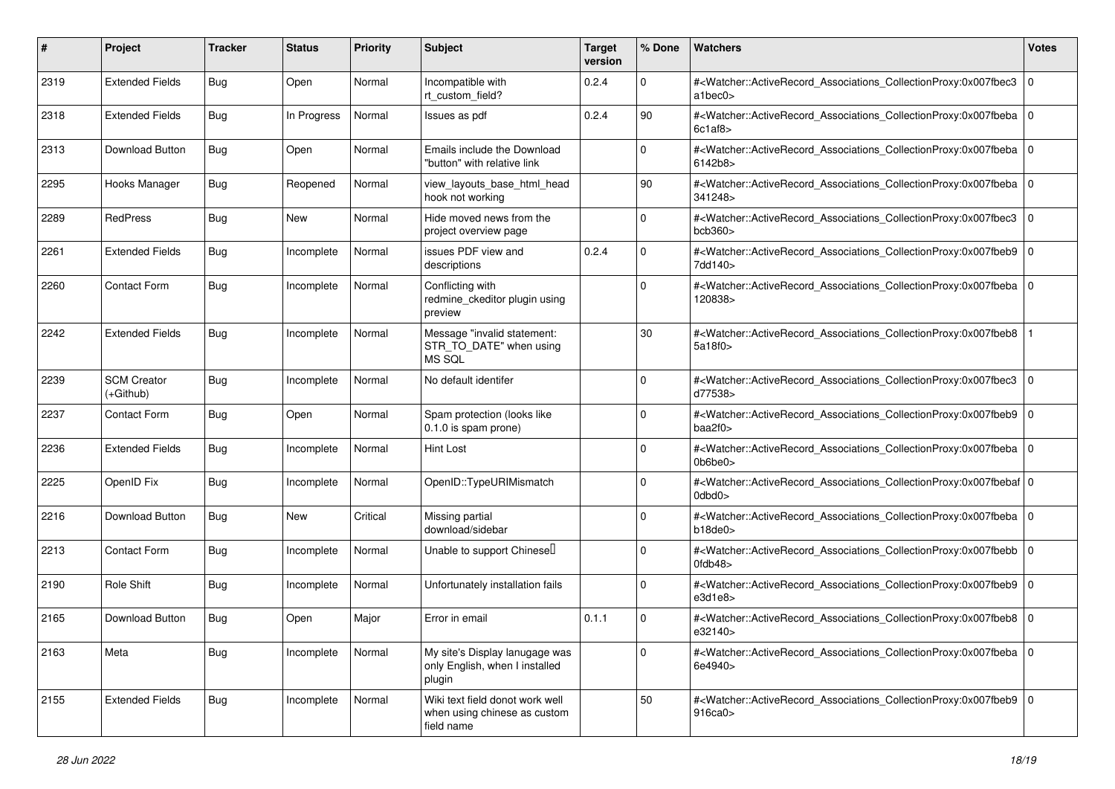| #    | Project                           | <b>Tracker</b> | <b>Status</b> | <b>Priority</b> | <b>Subject</b>                                                                | <b>Target</b><br>version | % Done      | <b>Watchers</b>                                                                                                                                                                | <b>Votes</b> |
|------|-----------------------------------|----------------|---------------|-----------------|-------------------------------------------------------------------------------|--------------------------|-------------|--------------------------------------------------------------------------------------------------------------------------------------------------------------------------------|--------------|
| 2319 | <b>Extended Fields</b>            | <b>Bug</b>     | Open          | Normal          | Incompatible with<br>rt_custom_field?                                         | 0.2.4                    | $\mathbf 0$ | # <watcher::activerecord_associations_collectionproxy:0x007fbec3<br>atbec0&gt;</watcher::activerecord_associations_collectionproxy:0x007fbec3<br>                              | 0            |
| 2318 | <b>Extended Fields</b>            | <b>Bug</b>     | In Progress   | Normal          | Issues as pdf                                                                 | 0.2.4                    | 90          | # <watcher::activerecord_associations_collectionproxy:0x007fbeba 0<br="">6c1af8</watcher::activerecord_associations_collectionproxy:0x007fbeba>                                |              |
| 2313 | Download Button                   | <b>Bug</b>     | Open          | Normal          | Emails include the Download<br>"button" with relative link                    |                          | $\Omega$    | # <watcher::activerecord_associations_collectionproxy:0x007fbeba 0<br=""  ="">6142b8&gt;</watcher::activerecord_associations_collectionproxy:0x007fbeba>                       |              |
| 2295 | Hooks Manager                     | <b>Bug</b>     | Reopened      | Normal          | view_layouts_base_html_head<br>hook not working                               |                          | 90          | # <watcher::activerecord 0<br="" associations="" collectionproxy:0x007fbeba="">341248&gt;</watcher::activerecord>                                                              |              |
| 2289 | RedPress                          | <b>Bug</b>     | New           | Normal          | Hide moved news from the<br>project overview page                             |                          | $\Omega$    | # <watcher::activerecord associations="" collectionproxy:0x007fbec3<br="">bcb360</watcher::activerecord>                                                                       | 0            |
| 2261 | <b>Extended Fields</b>            | <b>Bug</b>     | Incomplete    | Normal          | issues PDF view and<br>descriptions                                           | 0.2.4                    | $\Omega$    | # <watcher::activerecord_associations_collectionproxy:0x007fbeb9 0<br="">7dd140&gt;</watcher::activerecord_associations_collectionproxy:0x007fbeb9>                            |              |
| 2260 | <b>Contact Form</b>               | <b>Bug</b>     | Incomplete    | Normal          | Conflicting with<br>redmine_ckeditor plugin using<br>preview                  |                          | $\Omega$    | # <watcher::activerecord_associations_collectionproxy:0x007fbeba<br>120838&gt;</watcher::activerecord_associations_collectionproxy:0x007fbeba<br>                              | l O          |
| 2242 | <b>Extended Fields</b>            | Bug            | Incomplete    | Normal          | Message "invalid statement:<br>STR_TO_DATE" when using<br>MS SQL              |                          | 30          | # <watcher::activerecord_associations_collectionproxy:0x007fbeb8<br>5a18f0&gt;</watcher::activerecord_associations_collectionproxy:0x007fbeb8<br>                              |              |
| 2239 | <b>SCM Creator</b><br>$(+Github)$ | <b>Bug</b>     | Incomplete    | Normal          | No default identifer                                                          |                          | $\Omega$    | # <watcher::activerecord_associations_collectionproxy:0x007fbec3<br>d77538&gt;</watcher::activerecord_associations_collectionproxy:0x007fbec3<br>                              | 0            |
| 2237 | Contact Form                      | <b>Bug</b>     | Open          | Normal          | Spam protection (looks like<br>0.1.0 is spam prone)                           |                          | $\Omega$    | # <watcher::activerecord_associations_collectionproxy:0x007fbeb9 0<br=""  ="">baa2f0&gt;</watcher::activerecord_associations_collectionproxy:0x007fbeb9>                       |              |
| 2236 | <b>Extended Fields</b>            | <b>Bug</b>     | Incomplete    | Normal          | <b>Hint Lost</b>                                                              |                          | $\Omega$    | # <watcher::activerecord_associations_collectionproxy:0x007fbeba 0<br=""  ="">0b6be0&gt;</watcher::activerecord_associations_collectionproxy:0x007fbeba>                       |              |
| 2225 | OpenID Fix                        | <b>Bug</b>     | Incomplete    | Normal          | OpenID::TypeURIMismatch                                                       |                          | $\Omega$    | # <watcher::activerecord_associations_collectionproxy:0x007fbebaf 0<br=""  ="">0dbd0&gt;</watcher::activerecord_associations_collectionproxy:0x007fbebaf>                      |              |
| 2216 | Download Button                   | <b>Bug</b>     | New           | Critical        | Missing partial<br>download/sidebar                                           |                          | $\Omega$    | # <watcher::activerecord_associations_collectionproxy:0x007fbeba 0<br=""  ="">b18de0</watcher::activerecord_associations_collectionproxy:0x007fbeba>                           |              |
| 2213 | <b>Contact Form</b>               | <b>Bug</b>     | Incomplete    | Normal          | Unable to support Chinesell                                                   |                          | $\mathbf 0$ | # <watcher::activerecord_associations_collectionproxy:0x007fbebb 0<br=""  =""><math>0</math>fdb<math>48</math></watcher::activerecord_associations_collectionproxy:0x007fbebb> |              |
| 2190 | Role Shift                        | <b>Bug</b>     | Incomplete    | Normal          | Unfortunately installation fails                                              |                          | $\Omega$    | # <watcher::activerecord_associations_collectionproxy:0x007fbeb9 0<br="">e3d1e8&gt;</watcher::activerecord_associations_collectionproxy:0x007fbeb9>                            |              |
| 2165 | Download Button                   | <b>Bug</b>     | Open          | Major           | Error in email                                                                | 0.1.1                    | $\mathbf 0$ | # <watcher::activerecord_associations_collectionproxy:0x007fbeb8 0<br="">e32140&gt;</watcher::activerecord_associations_collectionproxy:0x007fbeb8>                            |              |
| 2163 | Meta                              | <b>Bug</b>     | Incomplete    | Normal          | My site's Display lanugage was<br>only English, when I installed<br>plugin    |                          | $\mathbf 0$ | # <watcher::activerecord_associations_collectionproxy:0x007fbeba 0<br="">6e4940&gt;</watcher::activerecord_associations_collectionproxy:0x007fbeba>                            |              |
| 2155 | <b>Extended Fields</b>            | Bug            | Incomplete    | Normal          | Wiki text field donot work well<br>when using chinese as custom<br>field name |                          | 50          | # <watcher::activerecord_associations_collectionproxy:0x007fbeb9 0<br=""  ="">916ca0&gt;</watcher::activerecord_associations_collectionproxy:0x007fbeb9>                       |              |